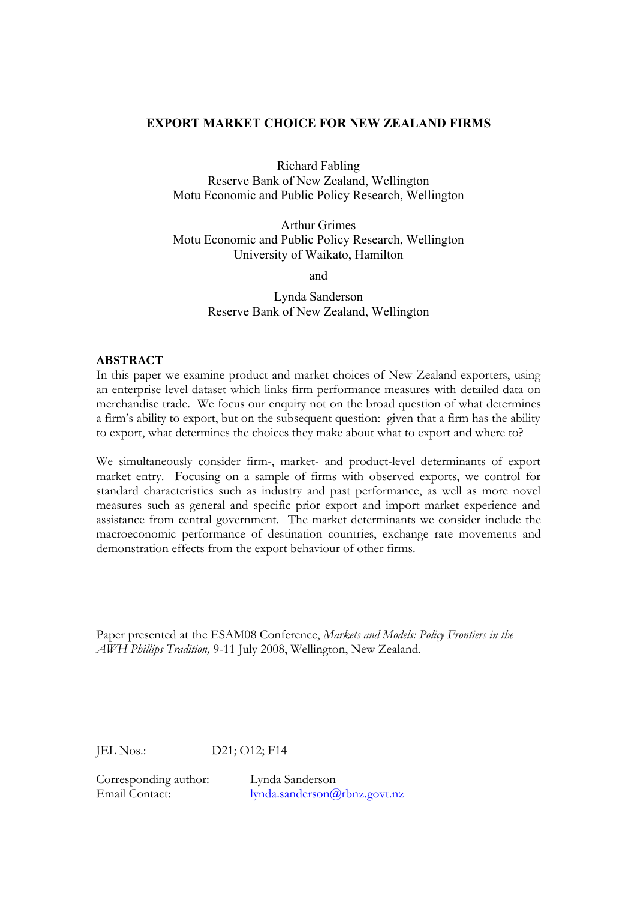#### **EXPORT MARKET CHOICE FOR NEW ZEALAND FIRMS**

Richard Fabling

Reserve Bank of New Zealand, Wellington Motu Economic and Public Policy Research, Wellington

Arthur Grimes Motu Economic and Public Policy Research, Wellington University of Waikato, Hamilton

and

Lynda Sanderson Reserve Bank of New Zealand, Wellington

#### **ABSTRACT**

In this paper we examine product and market choices of New Zealand exporters, using an enterprise level dataset which links firm performance measures with detailed data on merchandise trade. We focus our enquiry not on the broad question of what determines a firm's ability to export, but on the subsequent question: given that a firm has the ability to export, what determines the choices they make about what to export and where to?

We simultaneously consider firm-, market- and product-level determinants of export market entry. Focusing on a sample of firms with observed exports, we control for standard characteristics such as industry and past performance, as well as more novel measures such as general and specific prior export and import market experience and assistance from central government. The market determinants we consider include the macroeconomic performance of destination countries, exchange rate movements and demonstration effects from the export behaviour of other firms.

Paper presented at the ESAM08 Conference, *Markets and Models: Policy Frontiers in the AWH Phillips Tradition,* 9-11 July 2008, Wellington, New Zealand.

JEL Nos.: D21; O12; F14

Corresponding author: Lynda Sanderson

Email Contact: lynda.sanderson@rbnz.govt.nz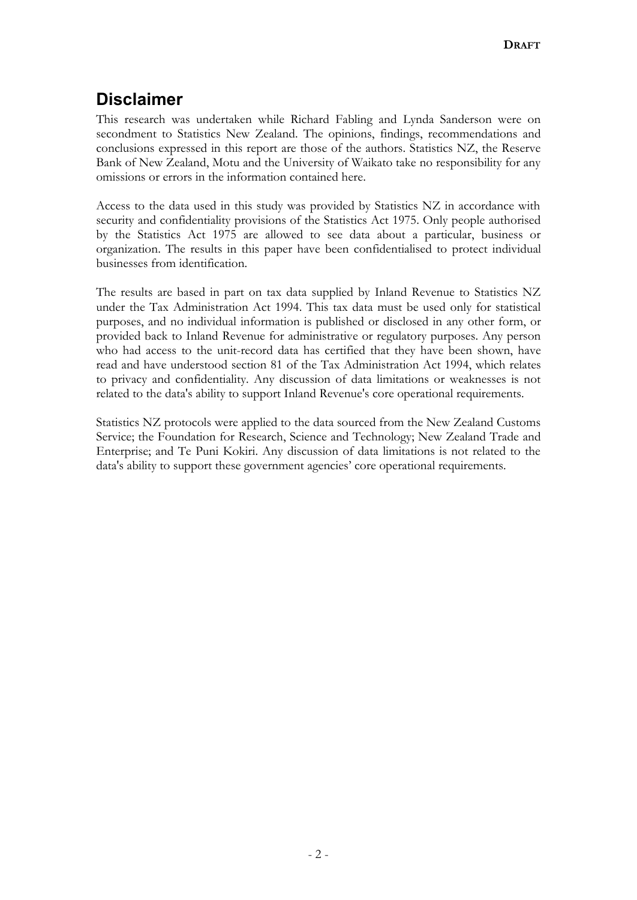# **Disclaimer**

This research was undertaken while Richard Fabling and Lynda Sanderson were on secondment to Statistics New Zealand. The opinions, findings, recommendations and conclusions expressed in this report are those of the authors. Statistics NZ, the Reserve Bank of New Zealand, Motu and the University of Waikato take no responsibility for any omissions or errors in the information contained here.

Access to the data used in this study was provided by Statistics NZ in accordance with security and confidentiality provisions of the Statistics Act 1975. Only people authorised by the Statistics Act 1975 are allowed to see data about a particular, business or organization. The results in this paper have been confidentialised to protect individual businesses from identification.

The results are based in part on tax data supplied by Inland Revenue to Statistics NZ under the Tax Administration Act 1994. This tax data must be used only for statistical purposes, and no individual information is published or disclosed in any other form, or provided back to Inland Revenue for administrative or regulatory purposes. Any person who had access to the unit-record data has certified that they have been shown, have read and have understood section 81 of the Tax Administration Act 1994, which relates to privacy and confidentiality. Any discussion of data limitations or weaknesses is not related to the data's ability to support Inland Revenue's core operational requirements.

Statistics NZ protocols were applied to the data sourced from the New Zealand Customs Service; the Foundation for Research, Science and Technology; New Zealand Trade and Enterprise; and Te Puni Kokiri. Any discussion of data limitations is not related to the data's ability to support these government agencies' core operational requirements.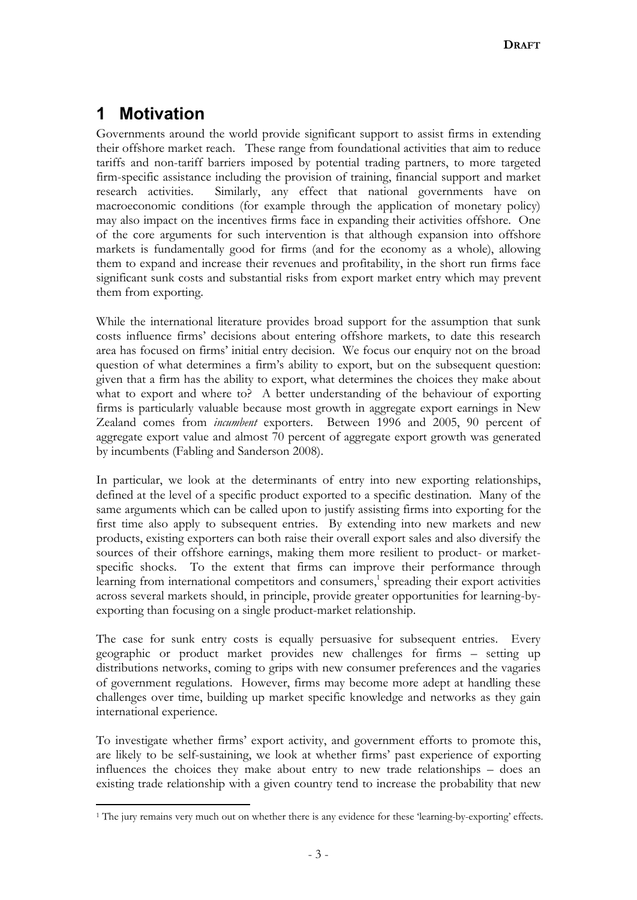# **1 Motivation**

 $\overline{a}$ 

Governments around the world provide significant support to assist firms in extending their offshore market reach. These range from foundational activities that aim to reduce tariffs and non-tariff barriers imposed by potential trading partners, to more targeted firm-specific assistance including the provision of training, financial support and market research activities. Similarly, any effect that national governments have on macroeconomic conditions (for example through the application of monetary policy) may also impact on the incentives firms face in expanding their activities offshore. One of the core arguments for such intervention is that although expansion into offshore markets is fundamentally good for firms (and for the economy as a whole), allowing them to expand and increase their revenues and profitability, in the short run firms face significant sunk costs and substantial risks from export market entry which may prevent them from exporting.

While the international literature provides broad support for the assumption that sunk costs influence firms' decisions about entering offshore markets, to date this research area has focused on firms' initial entry decision. We focus our enquiry not on the broad question of what determines a firm's ability to export, but on the subsequent question: given that a firm has the ability to export, what determines the choices they make about what to export and where to? A better understanding of the behaviour of exporting firms is particularly valuable because most growth in aggregate export earnings in New Zealand comes from *incumbent* exporters. Between 1996 and 2005, 90 percent of aggregate export value and almost 70 percent of aggregate export growth was generated by incumbents (Fabling and Sanderson 2008).

In particular, we look at the determinants of entry into new exporting relationships, defined at the level of a specific product exported to a specific destination. Many of the same arguments which can be called upon to justify assisting firms into exporting for the first time also apply to subsequent entries. By extending into new markets and new products, existing exporters can both raise their overall export sales and also diversify the sources of their offshore earnings, making them more resilient to product- or marketspecific shocks. To the extent that firms can improve their performance through learning from international competitors and consumers,<sup>1</sup> spreading their export activities across several markets should, in principle, provide greater opportunities for learning-byexporting than focusing on a single product-market relationship.

The case for sunk entry costs is equally persuasive for subsequent entries. Every geographic or product market provides new challenges for firms – setting up distributions networks, coming to grips with new consumer preferences and the vagaries of government regulations. However, firms may become more adept at handling these challenges over time, building up market specific knowledge and networks as they gain international experience.

To investigate whether firms' export activity, and government efforts to promote this, are likely to be self-sustaining, we look at whether firms' past experience of exporting influences the choices they make about entry to new trade relationships – does an existing trade relationship with a given country tend to increase the probability that new

<sup>1</sup> The jury remains very much out on whether there is any evidence for these 'learning-by-exporting' effects.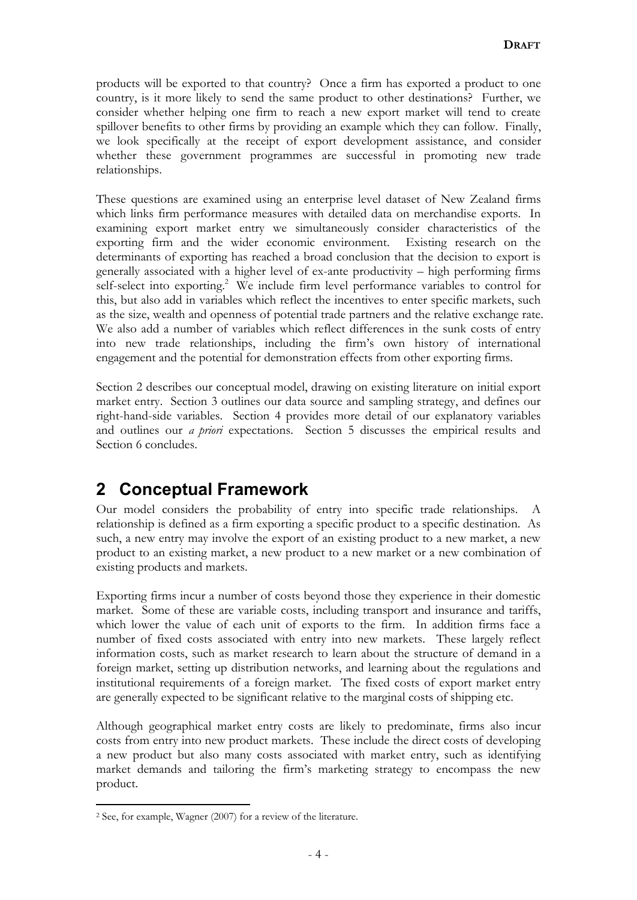products will be exported to that country? Once a firm has exported a product to one country, is it more likely to send the same product to other destinations? Further, we consider whether helping one firm to reach a new export market will tend to create spillover benefits to other firms by providing an example which they can follow. Finally, we look specifically at the receipt of export development assistance, and consider whether these government programmes are successful in promoting new trade relationships.

These questions are examined using an enterprise level dataset of New Zealand firms which links firm performance measures with detailed data on merchandise exports. In examining export market entry we simultaneously consider characteristics of the exporting firm and the wider economic environment. Existing research on the determinants of exporting has reached a broad conclusion that the decision to export is generally associated with a higher level of ex-ante productivity – high performing firms self-select into exporting.<sup>2</sup> We include firm level performance variables to control for this, but also add in variables which reflect the incentives to enter specific markets, such as the size, wealth and openness of potential trade partners and the relative exchange rate. We also add a number of variables which reflect differences in the sunk costs of entry into new trade relationships, including the firm's own history of international engagement and the potential for demonstration effects from other exporting firms.

Section 2 describes our conceptual model, drawing on existing literature on initial export market entry. Section 3 outlines our data source and sampling strategy, and defines our right-hand-side variables. Section 4 provides more detail of our explanatory variables and outlines our *a priori* expectations. Section 5 discusses the empirical results and Section 6 concludes.

## **2 Conceptual Framework**

Our model considers the probability of entry into specific trade relationships. A relationship is defined as a firm exporting a specific product to a specific destination. As such, a new entry may involve the export of an existing product to a new market, a new product to an existing market, a new product to a new market or a new combination of existing products and markets.

Exporting firms incur a number of costs beyond those they experience in their domestic market. Some of these are variable costs, including transport and insurance and tariffs, which lower the value of each unit of exports to the firm. In addition firms face a number of fixed costs associated with entry into new markets. These largely reflect information costs, such as market research to learn about the structure of demand in a foreign market, setting up distribution networks, and learning about the regulations and institutional requirements of a foreign market. The fixed costs of export market entry are generally expected to be significant relative to the marginal costs of shipping etc.

Although geographical market entry costs are likely to predominate, firms also incur costs from entry into new product markets. These include the direct costs of developing a new product but also many costs associated with market entry, such as identifying market demands and tailoring the firm's marketing strategy to encompass the new product.

 $\overline{a}$ 

<sup>2</sup> See, for example, Wagner (2007) for a review of the literature.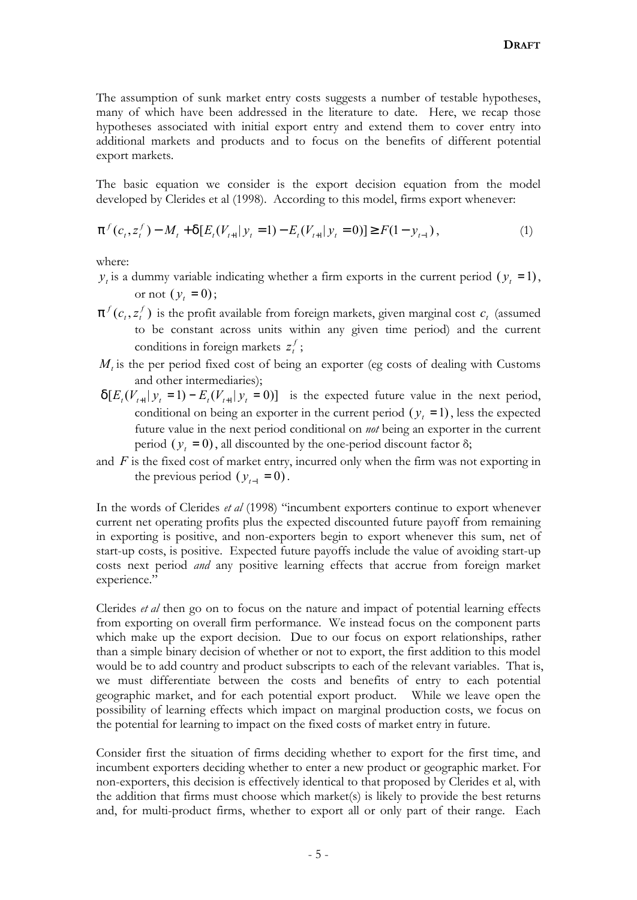The assumption of sunk market entry costs suggests a number of testable hypotheses, many of which have been addressed in the literature to date. Here, we recap those hypotheses associated with initial export entry and extend them to cover entry into additional markets and products and to focus on the benefits of different potential export markets.

The basic equation we consider is the export decision equation from the model developed by Clerides et al (1998). According to this model, firms export whenever:

$$
p^{f}(c_{t}, z_{t}^{f}) - M_{t} + d[E_{t}(V_{t+1} | y_{t} = 1) - E_{t}(V_{t+1} | y_{t} = 0)] \geq F(1 - y_{t-1}),
$$
\n(1)

where:

- $y_t$  is a dummy variable indicating whether a firm exports in the current period ( $y_t = 1$ ), or not  $(y_t = 0);$
- *p f*  $t \cdot f$  $(c_t, z_t^f)$  is the profit available from foreign markets, given marginal cost  $c_t$  (assumed to be constant across units within any given time period) and the current conditions in foreign markets  $z_t^f$ ;
- $M<sub>t</sub>$  is the per period fixed cost of being an exporter (eg costs of dealing with Customs and other intermediaries);
- $d[E_t(V_{t+1}|y_t = 1) E_t(V_{t+1}|y_t = 0)]$  is the expected future value in the next period, conditional on being an exporter in the current period  $(y_t = 1)$ , less the expected future value in the next period conditional on *not* being an exporter in the current period  $(y_t = 0)$ , all discounted by the one-period discount factor  $\delta$ ;
- and *F* is the fixed cost of market entry, incurred only when the firm was not exporting in the previous period  $(y_{t-1} = 0)$ .

In the words of Clerides *et al* (1998) "incumbent exporters continue to export whenever current net operating profits plus the expected discounted future payoff from remaining in exporting is positive, and non-exporters begin to export whenever this sum, net of start-up costs, is positive. Expected future payoffs include the value of avoiding start-up costs next period *and* any positive learning effects that accrue from foreign market experience."

Clerides *et al* then go on to focus on the nature and impact of potential learning effects from exporting on overall firm performance. We instead focus on the component parts which make up the export decision. Due to our focus on export relationships, rather than a simple binary decision of whether or not to export, the first addition to this model would be to add country and product subscripts to each of the relevant variables. That is, we must differentiate between the costs and benefits of entry to each potential geographic market, and for each potential export product. While we leave open the possibility of learning effects which impact on marginal production costs, we focus on the potential for learning to impact on the fixed costs of market entry in future.

Consider first the situation of firms deciding whether to export for the first time, and incumbent exporters deciding whether to enter a new product or geographic market. For non-exporters, this decision is effectively identical to that proposed by Clerides et al, with the addition that firms must choose which market(s) is likely to provide the best returns and, for multi-product firms, whether to export all or only part of their range. Each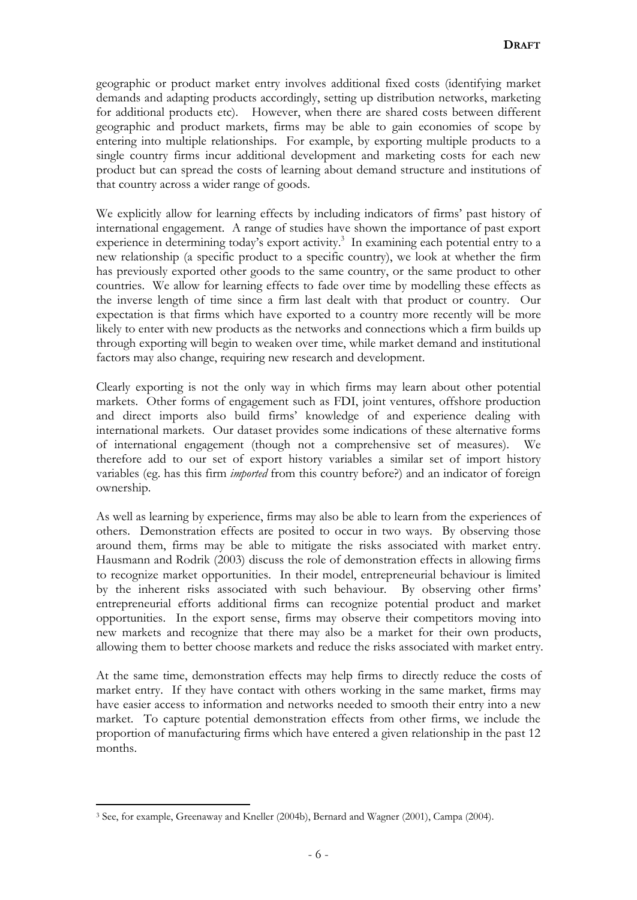geographic or product market entry involves additional fixed costs (identifying market demands and adapting products accordingly, setting up distribution networks, marketing for additional products etc). However, when there are shared costs between different geographic and product markets, firms may be able to gain economies of scope by entering into multiple relationships. For example, by exporting multiple products to a single country firms incur additional development and marketing costs for each new product but can spread the costs of learning about demand structure and institutions of that country across a wider range of goods.

We explicitly allow for learning effects by including indicators of firms' past history of international engagement. A range of studies have shown the importance of past export experience in determining today's export activity.<sup>3</sup> In examining each potential entry to a new relationship (a specific product to a specific country), we look at whether the firm has previously exported other goods to the same country, or the same product to other countries. We allow for learning effects to fade over time by modelling these effects as the inverse length of time since a firm last dealt with that product or country. Our expectation is that firms which have exported to a country more recently will be more likely to enter with new products as the networks and connections which a firm builds up through exporting will begin to weaken over time, while market demand and institutional factors may also change, requiring new research and development.

Clearly exporting is not the only way in which firms may learn about other potential markets. Other forms of engagement such as FDI, joint ventures, offshore production and direct imports also build firms' knowledge of and experience dealing with international markets. Our dataset provides some indications of these alternative forms of international engagement (though not a comprehensive set of measures). We therefore add to our set of export history variables a similar set of import history variables (eg. has this firm *imported* from this country before?) and an indicator of foreign ownership.

As well as learning by experience, firms may also be able to learn from the experiences of others. Demonstration effects are posited to occur in two ways. By observing those around them, firms may be able to mitigate the risks associated with market entry. Hausmann and Rodrik (2003) discuss the role of demonstration effects in allowing firms to recognize market opportunities. In their model, entrepreneurial behaviour is limited by the inherent risks associated with such behaviour. By observing other firms' entrepreneurial efforts additional firms can recognize potential product and market opportunities. In the export sense, firms may observe their competitors moving into new markets and recognize that there may also be a market for their own products, allowing them to better choose markets and reduce the risks associated with market entry.

At the same time, demonstration effects may help firms to directly reduce the costs of market entry. If they have contact with others working in the same market, firms may have easier access to information and networks needed to smooth their entry into a new market. To capture potential demonstration effects from other firms, we include the proportion of manufacturing firms which have entered a given relationship in the past 12 months.

 $\overline{a}$ 

<sup>3</sup> See, for example, Greenaway and Kneller (2004b), Bernard and Wagner (2001), Campa (2004).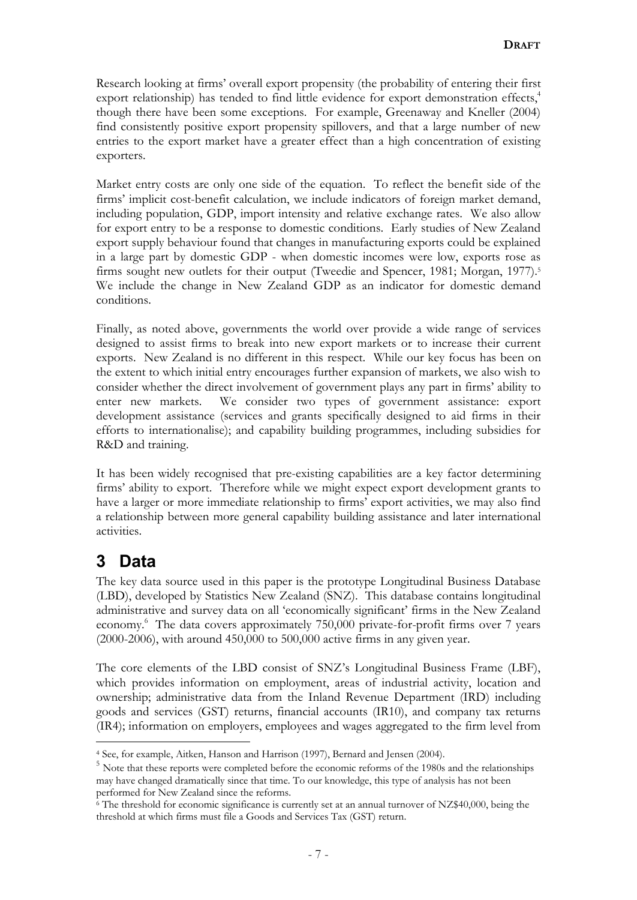Research looking at firms' overall export propensity (the probability of entering their first export relationship) has tended to find little evidence for export demonstration effects,<sup>4</sup> though there have been some exceptions. For example, Greenaway and Kneller (2004) find consistently positive export propensity spillovers, and that a large number of new entries to the export market have a greater effect than a high concentration of existing exporters.

Market entry costs are only one side of the equation. To reflect the benefit side of the firms' implicit cost-benefit calculation, we include indicators of foreign market demand, including population, GDP, import intensity and relative exchange rates. We also allow for export entry to be a response to domestic conditions. Early studies of New Zealand export supply behaviour found that changes in manufacturing exports could be explained in a large part by domestic GDP - when domestic incomes were low, exports rose as firms sought new outlets for their output (Tweedie and Spencer, 1981; Morgan, 1977).<sup>5</sup> We include the change in New Zealand GDP as an indicator for domestic demand conditions.

Finally, as noted above, governments the world over provide a wide range of services designed to assist firms to break into new export markets or to increase their current exports. New Zealand is no different in this respect. While our key focus has been on the extent to which initial entry encourages further expansion of markets, we also wish to consider whether the direct involvement of government plays any part in firms' ability to enter new markets. We consider two types of government assistance: export development assistance (services and grants specifically designed to aid firms in their efforts to internationalise); and capability building programmes, including subsidies for R&D and training.

It has been widely recognised that pre-existing capabilities are a key factor determining firms' ability to export. Therefore while we might expect export development grants to have a larger or more immediate relationship to firms' export activities, we may also find a relationship between more general capability building assistance and later international activities.

# **3 Data**

The key data source used in this paper is the prototype Longitudinal Business Database (LBD), developed by Statistics New Zealand (SNZ). This database contains longitudinal administrative and survey data on all 'economically significant' firms in the New Zealand economy.<sup>6</sup> The data covers approximately 750,000 private-for-profit firms over 7 years (2000-2006), with around 450,000 to 500,000 active firms in any given year.

The core elements of the LBD consist of SNZ's Longitudinal Business Frame (LBF), which provides information on employment, areas of industrial activity, location and ownership; administrative data from the Inland Revenue Department (IRD) including goods and services (GST) returns, financial accounts (IR10), and company tax returns (IR4); information on employers, employees and wages aggregated to the firm level from

 $\overline{a}$ <sup>4</sup> See, for example, Aitken, Hanson and Harrison (1997), Bernard and Jensen (2004).

<sup>&</sup>lt;sup>5</sup> Note that these reports were completed before the economic reforms of the 1980s and the relationships may have changed dramatically since that time. To our knowledge, this type of analysis has not been performed for New Zealand since the reforms.

<sup>6</sup> The threshold for economic significance is currently set at an annual turnover of NZ\$40,000, being the threshold at which firms must file a Goods and Services Tax (GST) return.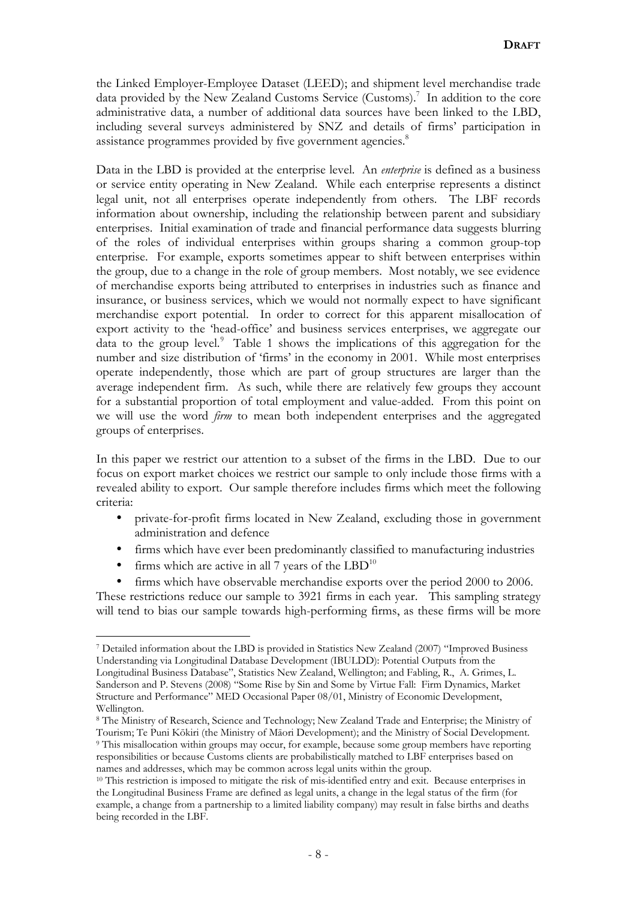the Linked Employer-Employee Dataset (LEED); and shipment level merchandise trade data provided by the New Zealand Customs Service (Customs). 7 In addition to the core administrative data, a number of additional data sources have been linked to the LBD, including several surveys administered by SNZ and details of firms' participation in assistance programmes provided by five government agencies.<sup>8</sup>

Data in the LBD is provided at the enterprise level. An *enterprise* is defined as a business or service entity operating in New Zealand. While each enterprise represents a distinct legal unit, not all enterprises operate independently from others. The LBF records information about ownership, including the relationship between parent and subsidiary enterprises. Initial examination of trade and financial performance data suggests blurring of the roles of individual enterprises within groups sharing a common group-top enterprise. For example, exports sometimes appear to shift between enterprises within the group, due to a change in the role of group members. Most notably, we see evidence of merchandise exports being attributed to enterprises in industries such as finance and insurance, or business services, which we would not normally expect to have significant merchandise export potential. In order to correct for this apparent misallocation of export activity to the 'head-office' and business services enterprises, we aggregate our data to the group level.<sup>9</sup> Table 1 shows the implications of this aggregation for the number and size distribution of 'firms' in the economy in 2001. While most enterprises operate independently, those which are part of group structures are larger than the average independent firm. As such, while there are relatively few groups they account for a substantial proportion of total employment and value-added. From this point on we will use the word *firm* to mean both independent enterprises and the aggregated groups of enterprises.

In this paper we restrict our attention to a subset of the firms in the LBD. Due to our focus on export market choices we restrict our sample to only include those firms with a revealed ability to export. Our sample therefore includes firms which meet the following criteria:

- private-for-profit firms located in New Zealand, excluding those in government administration and defence
- firms which have ever been predominantly classified to manufacturing industries
- firms which are active in all 7 years of the  $LBD^{10}$

firms which have observable merchandise exports over the period 2000 to 2006. These restrictions reduce our sample to 3921 firms in each year. This sampling strategy will tend to bias our sample towards high-performing firms, as these firms will be more

 $\overline{a}$ <sup>7</sup> Detailed information about the LBD is provided in Statistics New Zealand (2007) "Improved Business Understanding via Longitudinal Database Development (IBULDD): Potential Outputs from the Longitudinal Business Database", Statistics New Zealand, Wellington; and Fabling, R., A. Grimes, L. Sanderson and P. Stevens (2008) "Some Rise by Sin and Some by Virtue Fall: Firm Dynamics, Market Structure and Performance" MED Occasional Paper 08/01, Ministry of Economic Development, Wellington.

<sup>8</sup> The Ministry of Research, Science and Technology; New Zealand Trade and Enterprise; the Ministry of Tourism; Te Puni Kōkiri (the Ministry of Māori Development); and the Ministry of Social Development. <sup>9</sup> This misallocation within groups may occur, for example, because some group members have reporting responsibilities or because Customs clients are probabilistically matched to LBF enterprises based on names and addresses, which may be common across legal units within the group.

<sup>&</sup>lt;sup>10</sup> This restriction is imposed to mitigate the risk of mis-identified entry and exit. Because enterprises in the Longitudinal Business Frame are defined as legal units, a change in the legal status of the firm (for example, a change from a partnership to a limited liability company) may result in false births and deaths being recorded in the LBF.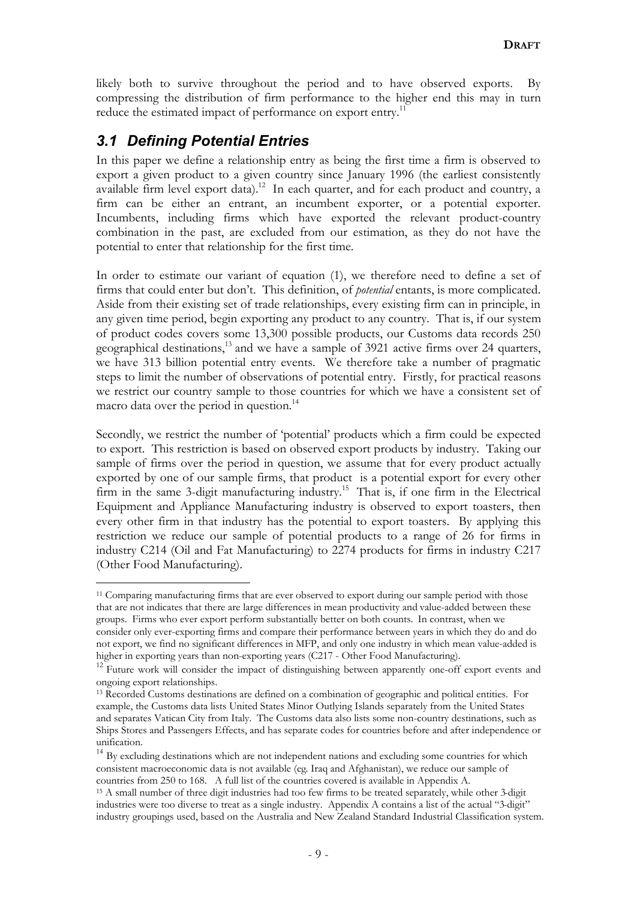likely both to survive throughout the period and to have observed exports. By compressing the distribution of firm performance to the higher end this may in turn reduce the estimated impact of performance on export entry.<sup>11</sup>

### *3.1 Defining Potential Entries*

 $\overline{a}$ 

In this paper we define a relationship entry as being the first time a firm is observed to export a given product to a given country since January 1996 (the earliest consistently available firm level export data).<sup>12</sup> In each quarter, and for each product and country, a firm can be either an entrant, an incumbent exporter, or a potential exporter. Incumbents, including firms which have exported the relevant product-country combination in the past, are excluded from our estimation, as they do not have the potential to enter that relationship for the first time.

In order to estimate our variant of equation (1), we therefore need to define a set of firms that could enter but don't. This definition, of *potential* entants, is more complicated. Aside from their existing set of trade relationships, every existing firm can in principle, in any given time period, begin exporting any product to any country. That is, if our system of product codes covers some 13,300 possible products, our Customs data records 250 geographical destinations,<sup>13</sup> and we have a sample of 3921 active firms over 24 quarters, we have 313 billion potential entry events. We therefore take a number of pragmatic steps to limit the number of observations of potential entry. Firstly, for practical reasons we restrict our country sample to those countries for which we have a consistent set of macro data over the period in question.<sup>14</sup>

Secondly, we restrict the number of 'potential' products which a firm could be expected to export. This restriction is based on observed export products by industry. Taking our sample of firms over the period in question, we assume that for every product actually exported by one of our sample firms, that product is a potential export for every other firm in the same 3-digit manufacturing industry.<sup>15</sup> That is, if one firm in the Electrical Equipment and Appliance Manufacturing industry is observed to export toasters, then every other firm in that industry has the potential to export toasters. By applying this restriction we reduce our sample of potential products to a range of 26 for firms in industry C214 (Oil and Fat Manufacturing) to 2274 products for firms in industry C217 (Other Food Manufacturing).

<sup>&</sup>lt;sup>11</sup> Comparing manufacturing firms that are ever observed to export during our sample period with those that are not indicates that there are large differences in mean productivity and value-added between these groups. Firms who ever export perform substantially better on both counts. In contrast, when we consider only ever-exporting firms and compare their performance between years in which they do and do not export, we find no significant differences in MFP, and only one industry in which mean value-added is higher in exporting years than non-exporting years (C217 - Other Food Manufacturing).

<sup>&</sup>lt;sup>12</sup> Future work will consider the impact of distinguishing between apparently one-off export events and ongoing export relationships.

<sup>13</sup> Recorded Customs destinations are defined on a combination of geographic and political entities. For example, the Customs data lists United States Minor Outlying Islands separately from the United States and separates Vatican City from Italy. The Customs data also lists some non-country destinations, such as Ships Stores and Passengers Effects, and has separate codes for countries before and after independence or unification.

<sup>&</sup>lt;sup>14</sup> By excluding destinations which are not independent nations and excluding some countries for which consistent macroeconomic data is not available (eg. Iraq and Afghanistan), we reduce our sample of countries from 250 to 168. A full list of the countries covered is available in Appendix A.

<sup>15</sup> A small number of three digit industries had too few firms to be treated separately, while other 3-digit industries were too diverse to treat as a single industry. Appendix A contains a list of the actual "3-digit" industry groupings used, based on the Australia and New Zealand Standard Industrial Classification system.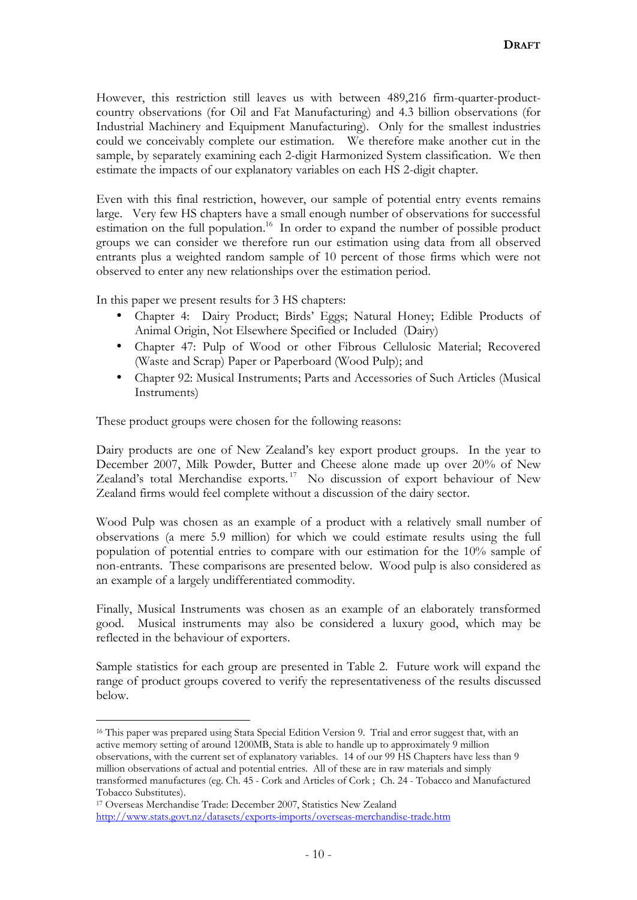However, this restriction still leaves us with between 489,216 firm-quarter-productcountry observations (for Oil and Fat Manufacturing) and 4.3 billion observations (for Industrial Machinery and Equipment Manufacturing). Only for the smallest industries could we conceivably complete our estimation. We therefore make another cut in the sample, by separately examining each 2-digit Harmonized System classification. We then estimate the impacts of our explanatory variables on each HS 2-digit chapter.

Even with this final restriction, however, our sample of potential entry events remains large. Very few HS chapters have a small enough number of observations for successful estimation on the full population.<sup>16</sup> In order to expand the number of possible product groups we can consider we therefore run our estimation using data from all observed entrants plus a weighted random sample of 10 percent of those firms which were not observed to enter any new relationships over the estimation period.

In this paper we present results for 3 HS chapters:

- Chapter 4: Dairy Product; Birds' Eggs; Natural Honey; Edible Products of Animal Origin, Not Elsewhere Specified or Included (Dairy)
- Chapter 47: Pulp of Wood or other Fibrous Cellulosic Material; Recovered (Waste and Scrap) Paper or Paperboard (Wood Pulp); and
- Chapter 92: Musical Instruments; Parts and Accessories of Such Articles (Musical Instruments)

These product groups were chosen for the following reasons:

Dairy products are one of New Zealand's key export product groups. In the year to December 2007, Milk Powder, Butter and Cheese alone made up over 20% of New Zealand's total Merchandise exports. <sup>17</sup> No discussion of export behaviour of New Zealand firms would feel complete without a discussion of the dairy sector.

Wood Pulp was chosen as an example of a product with a relatively small number of observations (a mere 5.9 million) for which we could estimate results using the full population of potential entries to compare with our estimation for the 10% sample of non-entrants. These comparisons are presented below. Wood pulp is also considered as an example of a largely undifferentiated commodity.

Finally, Musical Instruments was chosen as an example of an elaborately transformed good. Musical instruments may also be considered a luxury good, which may be reflected in the behaviour of exporters.

Sample statistics for each group are presented in Table 2. Future work will expand the range of product groups covered to verify the representativeness of the results discussed below.

 $\overline{a}$ 

<sup>&</sup>lt;sup>16</sup> This paper was prepared using Stata Special Edition Version 9. Trial and error suggest that, with an active memory setting of around 1200MB, Stata is able to handle up to approximately 9 million observations, with the current set of explanatory variables. 14 of our 99 HS Chapters have less than 9 million observations of actual and potential entries. All of these are in raw materials and simply transformed manufactures (eg. Ch. 45 - Cork and Articles of Cork ; Ch. 24 - Tobacco and Manufactured Tobacco Substitutes).

<sup>17</sup> Overseas Merchandise Trade: December 2007, Statistics New Zealand http://www.stats.govt.nz/datasets/exports-imports/overseas-merchandise-trade.htm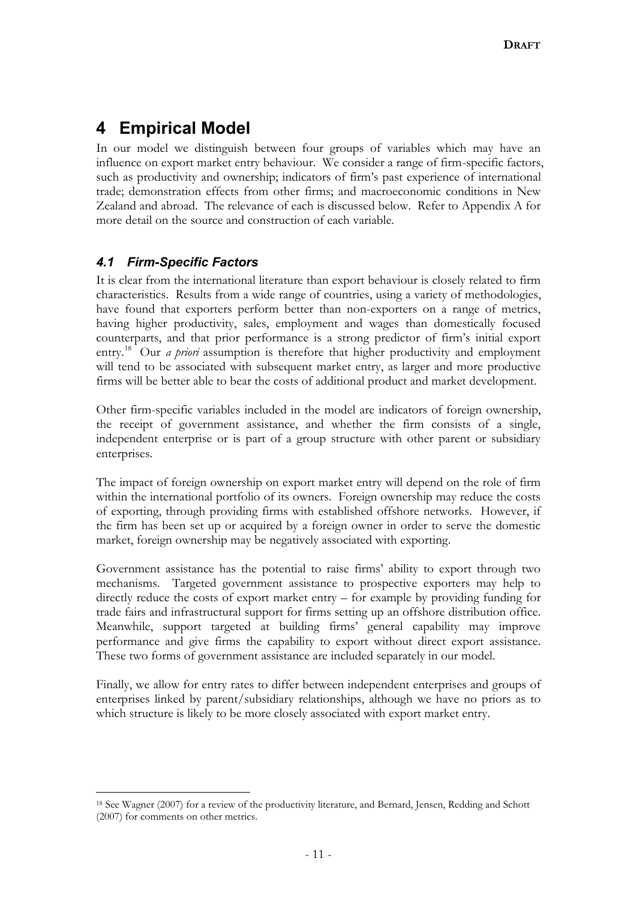## **4 Empirical Model**

In our model we distinguish between four groups of variables which may have an influence on export market entry behaviour. We consider a range of firm-specific factors, such as productivity and ownership; indicators of firm's past experience of international trade; demonstration effects from other firms; and macroeconomic conditions in New Zealand and abroad. The relevance of each is discussed below. Refer to Appendix A for more detail on the source and construction of each variable.

### *4.1 Firm-Specific Factors*

 $\overline{a}$ 

It is clear from the international literature than export behaviour is closely related to firm characteristics. Results from a wide range of countries, using a variety of methodologies, have found that exporters perform better than non-exporters on a range of metrics, having higher productivity, sales, employment and wages than domestically focused counterparts, and that prior performance is a strong predictor of firm's initial export entry.<sup>18</sup> Our *a priori* assumption is therefore that higher productivity and employment will tend to be associated with subsequent market entry, as larger and more productive firms will be better able to bear the costs of additional product and market development.

Other firm-specific variables included in the model are indicators of foreign ownership, the receipt of government assistance, and whether the firm consists of a single, independent enterprise or is part of a group structure with other parent or subsidiary enterprises.

The impact of foreign ownership on export market entry will depend on the role of firm within the international portfolio of its owners. Foreign ownership may reduce the costs of exporting, through providing firms with established offshore networks. However, if the firm has been set up or acquired by a foreign owner in order to serve the domestic market, foreign ownership may be negatively associated with exporting.

Government assistance has the potential to raise firms' ability to export through two mechanisms. Targeted government assistance to prospective exporters may help to directly reduce the costs of export market entry – for example by providing funding for trade fairs and infrastructural support for firms setting up an offshore distribution office. Meanwhile, support targeted at building firms' general capability may improve performance and give firms the capability to export without direct export assistance. These two forms of government assistance are included separately in our model.

Finally, we allow for entry rates to differ between independent enterprises and groups of enterprises linked by parent/subsidiary relationships, although we have no priors as to which structure is likely to be more closely associated with export market entry.

<sup>18</sup> See Wagner (2007) for a review of the productivity literature, and Bernard, Jensen, Redding and Schott (2007) for comments on other metrics.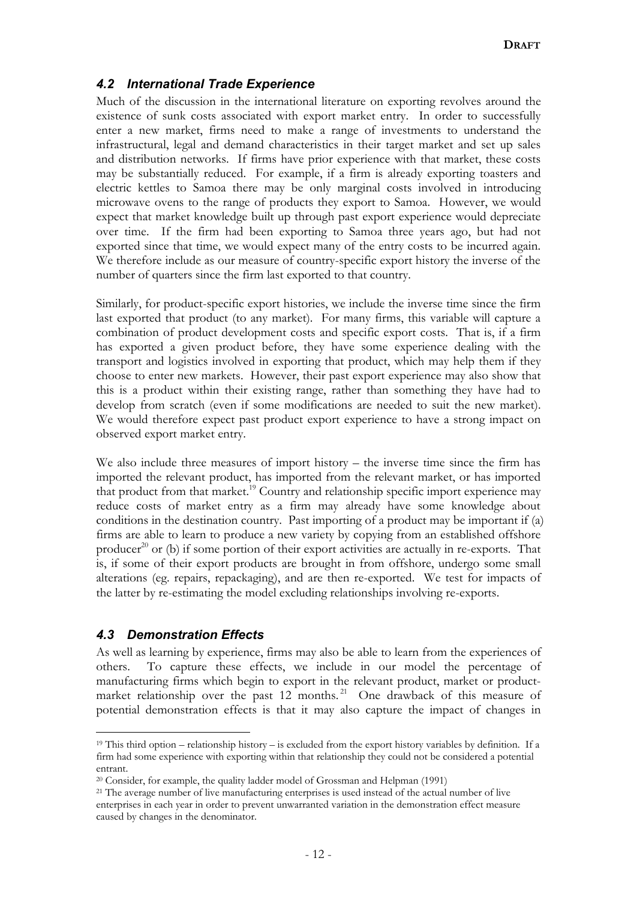### *4.2 International Trade Experience*

Much of the discussion in the international literature on exporting revolves around the existence of sunk costs associated with export market entry. In order to successfully enter a new market, firms need to make a range of investments to understand the infrastructural, legal and demand characteristics in their target market and set up sales and distribution networks. If firms have prior experience with that market, these costs may be substantially reduced. For example, if a firm is already exporting toasters and electric kettles to Samoa there may be only marginal costs involved in introducing microwave ovens to the range of products they export to Samoa. However, we would expect that market knowledge built up through past export experience would depreciate over time. If the firm had been exporting to Samoa three years ago, but had not exported since that time, we would expect many of the entry costs to be incurred again. We therefore include as our measure of country-specific export history the inverse of the number of quarters since the firm last exported to that country.

Similarly, for product-specific export histories, we include the inverse time since the firm last exported that product (to any market). For many firms, this variable will capture a combination of product development costs and specific export costs. That is, if a firm has exported a given product before, they have some experience dealing with the transport and logistics involved in exporting that product, which may help them if they choose to enter new markets. However, their past export experience may also show that this is a product within their existing range, rather than something they have had to develop from scratch (even if some modifications are needed to suit the new market). We would therefore expect past product export experience to have a strong impact on observed export market entry.

We also include three measures of import history – the inverse time since the firm has imported the relevant product, has imported from the relevant market, or has imported that product from that market.<sup>19</sup> Country and relationship specific import experience may reduce costs of market entry as a firm may already have some knowledge about conditions in the destination country. Past importing of a product may be important if (a) firms are able to learn to produce a new variety by copying from an established offshore producer<sup>20</sup> or (b) if some portion of their export activities are actually in re-exports. That is, if some of their export products are brought in from offshore, undergo some small alterations (eg. repairs, repackaging), and are then re-exported. We test for impacts of the latter by re-estimating the model excluding relationships involving re-exports.

### *4.3 Demonstration Effects*

 $\overline{a}$ 

As well as learning by experience, firms may also be able to learn from the experiences of others. To capture these effects, we include in our model the percentage of manufacturing firms which begin to export in the relevant product, market or productmarket relationship over the past 12 months.<sup>21</sup> One drawback of this measure of potential demonstration effects is that it may also capture the impact of changes in

<sup>&</sup>lt;sup>19</sup> This third option – relationship history – is excluded from the export history variables by definition. If a firm had some experience with exporting within that relationship they could not be considered a potential entrant.

<sup>&</sup>lt;sup>20</sup> Consider, for example, the quality ladder model of Grossman and Helpman (1991)

<sup>&</sup>lt;sup>21</sup> The average number of live manufacturing enterprises is used instead of the actual number of live enterprises in each year in order to prevent unwarranted variation in the demonstration effect measure caused by changes in the denominator.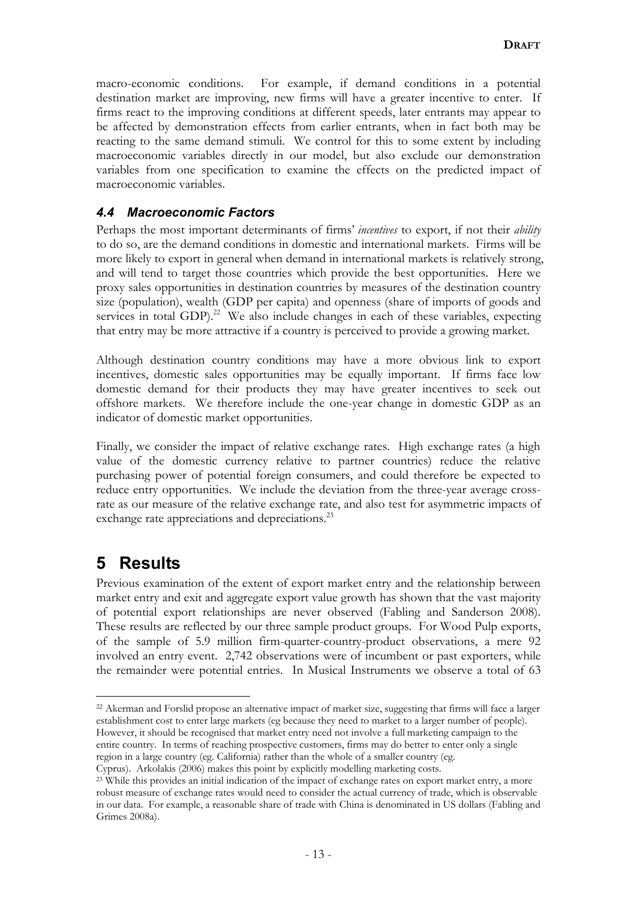macro-economic conditions. For example, if demand conditions in a potential destination market are improving, new firms will have a greater incentive to enter. If firms react to the improving conditions at different speeds, later entrants may appear to be affected by demonstration effects from earlier entrants, when in fact both may be reacting to the same demand stimuli. We control for this to some extent by including macroeconomic variables directly in our model, but also exclude our demonstration variables from one specification to examine the effects on the predicted impact of macroeconomic variables.

### *4.4 Macroeconomic Factors*

Perhaps the most important determinants of firms' *incentives* to export, if not their *ability* to do so, are the demand conditions in domestic and international markets. Firms will be more likely to export in general when demand in international markets is relatively strong, and will tend to target those countries which provide the best opportunities. Here we proxy sales opportunities in destination countries by measures of the destination country size (population), wealth (GDP per capita) and openness (share of imports of goods and services in total GDP). $22$  We also include changes in each of these variables, expecting that entry may be more attractive if a country is perceived to provide a growing market.

Although destination country conditions may have a more obvious link to export incentives, domestic sales opportunities may be equally important. If firms face low domestic demand for their products they may have greater incentives to seek out offshore markets. We therefore include the one-year change in domestic GDP as an indicator of domestic market opportunities.

Finally, we consider the impact of relative exchange rates. High exchange rates (a high value of the domestic currency relative to partner countries) reduce the relative purchasing power of potential foreign consumers, and could therefore be expected to reduce entry opportunities. We include the deviation from the three-year average crossrate as our measure of the relative exchange rate, and also test for asymmetric impacts of exchange rate appreciations and depreciations.<sup>23</sup>

## **5 Results**

 $\overline{a}$ 

Previous examination of the extent of export market entry and the relationship between market entry and exit and aggregate export value growth has shown that the vast majority of potential export relationships are never observed (Fabling and Sanderson 2008). These results are reflected by our three sample product groups. For Wood Pulp exports, of the sample of 5.9 million firm-quarter-country-product observations, a mere 92 involved an entry event. 2,742 observations were of incumbent or past exporters, while the remainder were potential entries. In Musical Instruments we observe a total of 63

<sup>22</sup> Akerman and Forslid propose an alternative impact of market size, suggesting that firms will face a larger establishment cost to enter large markets (eg because they need to market to a larger number of people). However, it should be recognised that market entry need not involve a full marketing campaign to the entire country. In terms of reaching prospective customers, firms may do better to enter only a single region in a large country (eg. California) rather than the whole of a smaller country (eg.

Cyprus). Arkolakis (2006) makes this point by explicitly modelling marketing costs.

<sup>&</sup>lt;sup>23</sup> While this provides an initial indication of the impact of exchange rates on export market entry, a more robust measure of exchange rates would need to consider the actual currency of trade, which is observable in our data. For example, a reasonable share of trade with China is denominated in US dollars (Fabling and Grimes 2008a).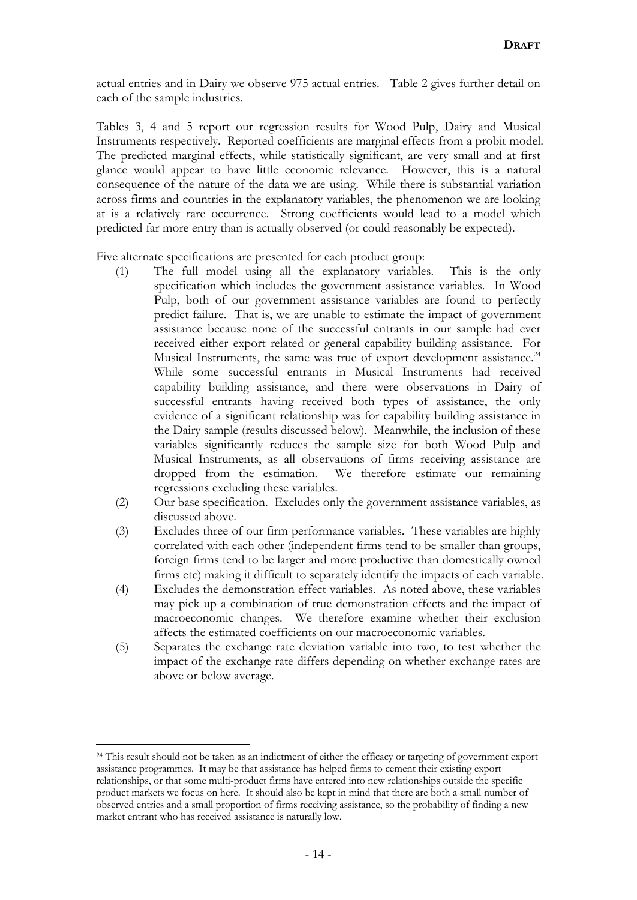actual entries and in Dairy we observe 975 actual entries. Table 2 gives further detail on each of the sample industries.

Tables 3, 4 and 5 report our regression results for Wood Pulp, Dairy and Musical Instruments respectively. Reported coefficients are marginal effects from a probit model. The predicted marginal effects, while statistically significant, are very small and at first glance would appear to have little economic relevance. However, this is a natural consequence of the nature of the data we are using. While there is substantial variation across firms and countries in the explanatory variables, the phenomenon we are looking at is a relatively rare occurrence. Strong coefficients would lead to a model which predicted far more entry than is actually observed (or could reasonably be expected).

Five alternate specifications are presented for each product group:

- (1) The full model using all the explanatory variables. This is the only specification which includes the government assistance variables. In Wood Pulp, both of our government assistance variables are found to perfectly predict failure. That is, we are unable to estimate the impact of government assistance because none of the successful entrants in our sample had ever received either export related or general capability building assistance. For Musical Instruments, the same was true of export development assistance.<sup>24</sup> While some successful entrants in Musical Instruments had received capability building assistance, and there were observations in Dairy of successful entrants having received both types of assistance, the only evidence of a significant relationship was for capability building assistance in the Dairy sample (results discussed below). Meanwhile, the inclusion of these variables significantly reduces the sample size for both Wood Pulp and Musical Instruments, as all observations of firms receiving assistance are dropped from the estimation. We therefore estimate our remaining regressions excluding these variables.
- (2) Our base specification. Excludes only the government assistance variables, as discussed above.
- (3) Excludes three of our firm performance variables. These variables are highly correlated with each other (independent firms tend to be smaller than groups, foreign firms tend to be larger and more productive than domestically owned firms etc) making it difficult to separately identify the impacts of each variable.
- (4) Excludes the demonstration effect variables. As noted above, these variables may pick up a combination of true demonstration effects and the impact of macroeconomic changes. We therefore examine whether their exclusion affects the estimated coefficients on our macroeconomic variables.
- (5) Separates the exchange rate deviation variable into two, to test whether the impact of the exchange rate differs depending on whether exchange rates are above or below average.

 $\overline{a}$ 

<sup>&</sup>lt;sup>24</sup> This result should not be taken as an indictment of either the efficacy or targeting of government export assistance programmes. It may be that assistance has helped firms to cement their existing export relationships, or that some multi-product firms have entered into new relationships outside the specific product markets we focus on here. It should also be kept in mind that there are both a small number of observed entries and a small proportion of firms receiving assistance, so the probability of finding a new market entrant who has received assistance is naturally low.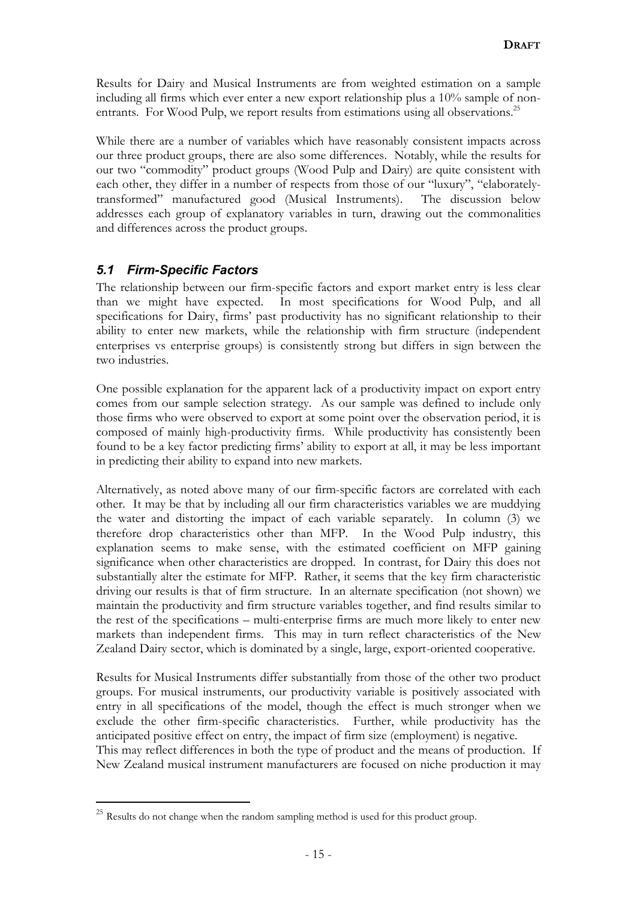Results for Dairy and Musical Instruments are from weighted estimation on a sample including all firms which ever enter a new export relationship plus a 10% sample of nonentrants. For Wood Pulp, we report results from estimations using all observations.<sup>25</sup>

While there are a number of variables which have reasonably consistent impacts across our three product groups, there are also some differences. Notably, while the results for our two "commodity" product groups (Wood Pulp and Dairy) are quite consistent with each other, they differ in a number of respects from those of our "luxury", "elaboratelytransformed" manufactured good (Musical Instruments). The discussion below addresses each group of explanatory variables in turn, drawing out the commonalities and differences across the product groups.

### *5.1 Firm-Specific Factors*

 $\overline{a}$ 

The relationship between our firm-specific factors and export market entry is less clear than we might have expected. In most specifications for Wood Pulp, and all specifications for Dairy, firms' past productivity has no significant relationship to their ability to enter new markets, while the relationship with firm structure (independent enterprises vs enterprise groups) is consistently strong but differs in sign between the two industries.

One possible explanation for the apparent lack of a productivity impact on export entry comes from our sample selection strategy. As our sample was defined to include only those firms who were observed to export at some point over the observation period, it is composed of mainly high-productivity firms. While productivity has consistently been found to be a key factor predicting firms' ability to export at all, it may be less important in predicting their ability to expand into new markets.

Alternatively, as noted above many of our firm-specific factors are correlated with each other. It may be that by including all our firm characteristics variables we are muddying the water and distorting the impact of each variable separately. In column (3) we therefore drop characteristics other than MFP. In the Wood Pulp industry, this explanation seems to make sense, with the estimated coefficient on MFP gaining significance when other characteristics are dropped. In contrast, for Dairy this does not substantially alter the estimate for MFP. Rather, it seems that the key firm characteristic driving our results is that of firm structure. In an alternate specification (not shown) we maintain the productivity and firm structure variables together, and find results similar to the rest of the specifications – multi-enterprise firms are much more likely to enter new markets than independent firms. This may in turn reflect characteristics of the New Zealand Dairy sector, which is dominated by a single, large, export-oriented cooperative.

Results for Musical Instruments differ substantially from those of the other two product groups. For musical instruments, our productivity variable is positively associated with entry in all specifications of the model, though the effect is much stronger when we exclude the other firm-specific characteristics. Further, while productivity has the anticipated positive effect on entry, the impact of firm size (employment) is negative.

This may reflect differences in both the type of product and the means of production. If New Zealand musical instrument manufacturers are focused on niche production it may

 $25$  Results do not change when the random sampling method is used for this product group.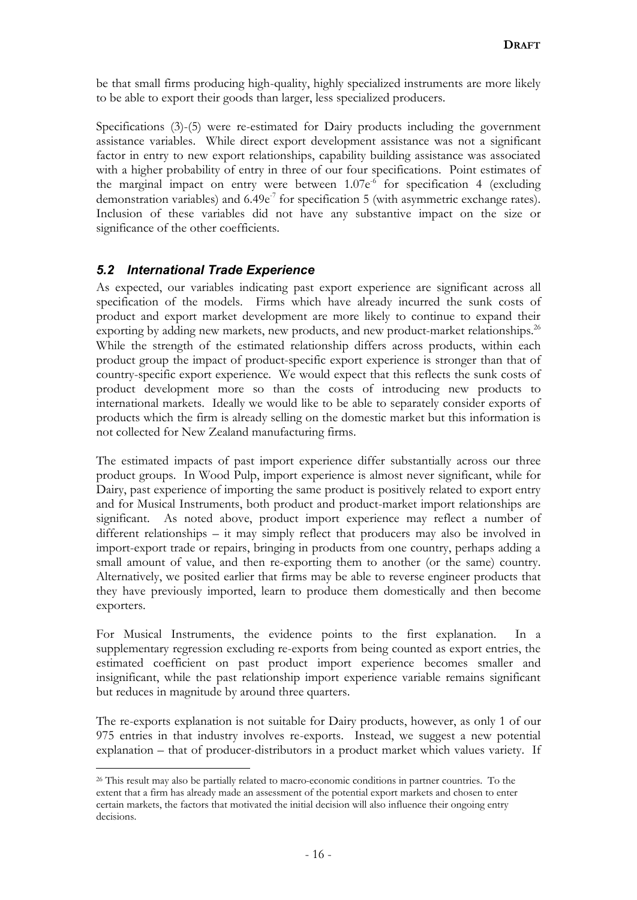be that small firms producing high-quality, highly specialized instruments are more likely to be able to export their goods than larger, less specialized producers.

Specifications (3)-(5) were re-estimated for Dairy products including the government assistance variables. While direct export development assistance was not a significant factor in entry to new export relationships, capability building assistance was associated with a higher probability of entry in three of our four specifications. Point estimates of the marginal impact on entry were between  $1.07e^{6}$  for specification 4 (excluding demonstration variables) and  $6.49e<sup>-7</sup>$  for specification 5 (with asymmetric exchange rates). Inclusion of these variables did not have any substantive impact on the size or significance of the other coefficients.

### *5.2 International Trade Experience*

 $\overline{a}$ 

As expected, our variables indicating past export experience are significant across all specification of the models. Firms which have already incurred the sunk costs of product and export market development are more likely to continue to expand their exporting by adding new markets, new products, and new product-market relationships.<sup>26</sup> While the strength of the estimated relationship differs across products, within each product group the impact of product-specific export experience is stronger than that of country-specific export experience. We would expect that this reflects the sunk costs of product development more so than the costs of introducing new products to international markets. Ideally we would like to be able to separately consider exports of products which the firm is already selling on the domestic market but this information is not collected for New Zealand manufacturing firms.

The estimated impacts of past import experience differ substantially across our three product groups. In Wood Pulp, import experience is almost never significant, while for Dairy, past experience of importing the same product is positively related to export entry and for Musical Instruments, both product and product-market import relationships are significant. As noted above, product import experience may reflect a number of different relationships – it may simply reflect that producers may also be involved in import-export trade or repairs, bringing in products from one country, perhaps adding a small amount of value, and then re-exporting them to another (or the same) country. Alternatively, we posited earlier that firms may be able to reverse engineer products that they have previously imported, learn to produce them domestically and then become exporters.

For Musical Instruments, the evidence points to the first explanation. In a supplementary regression excluding re-exports from being counted as export entries, the estimated coefficient on past product import experience becomes smaller and insignificant, while the past relationship import experience variable remains significant but reduces in magnitude by around three quarters.

The re-exports explanation is not suitable for Dairy products, however, as only 1 of our 975 entries in that industry involves re-exports. Instead, we suggest a new potential explanation – that of producer-distributors in a product market which values variety. If

<sup>&</sup>lt;sup>26</sup> This result may also be partially related to macro-economic conditions in partner countries. To the extent that a firm has already made an assessment of the potential export markets and chosen to enter certain markets, the factors that motivated the initial decision will also influence their ongoing entry decisions.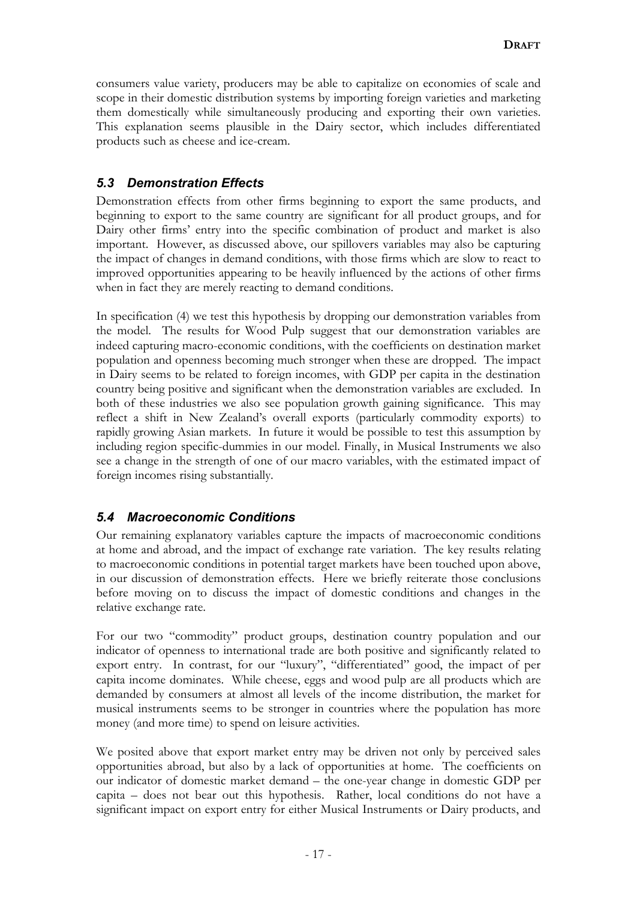consumers value variety, producers may be able to capitalize on economies of scale and scope in their domestic distribution systems by importing foreign varieties and marketing them domestically while simultaneously producing and exporting their own varieties. This explanation seems plausible in the Dairy sector, which includes differentiated products such as cheese and ice-cream.

### *5.3 Demonstration Effects*

Demonstration effects from other firms beginning to export the same products, and beginning to export to the same country are significant for all product groups, and for Dairy other firms' entry into the specific combination of product and market is also important. However, as discussed above, our spillovers variables may also be capturing the impact of changes in demand conditions, with those firms which are slow to react to improved opportunities appearing to be heavily influenced by the actions of other firms when in fact they are merely reacting to demand conditions.

In specification (4) we test this hypothesis by dropping our demonstration variables from the model. The results for Wood Pulp suggest that our demonstration variables are indeed capturing macro-economic conditions, with the coefficients on destination market population and openness becoming much stronger when these are dropped. The impact in Dairy seems to be related to foreign incomes, with GDP per capita in the destination country being positive and significant when the demonstration variables are excluded. In both of these industries we also see population growth gaining significance. This may reflect a shift in New Zealand's overall exports (particularly commodity exports) to rapidly growing Asian markets. In future it would be possible to test this assumption by including region specific-dummies in our model. Finally, in Musical Instruments we also see a change in the strength of one of our macro variables, with the estimated impact of foreign incomes rising substantially.

### *5.4 Macroeconomic Conditions*

Our remaining explanatory variables capture the impacts of macroeconomic conditions at home and abroad, and the impact of exchange rate variation. The key results relating to macroeconomic conditions in potential target markets have been touched upon above, in our discussion of demonstration effects. Here we briefly reiterate those conclusions before moving on to discuss the impact of domestic conditions and changes in the relative exchange rate.

For our two "commodity" product groups, destination country population and our indicator of openness to international trade are both positive and significantly related to export entry. In contrast, for our "luxury", "differentiated" good, the impact of per capita income dominates. While cheese, eggs and wood pulp are all products which are demanded by consumers at almost all levels of the income distribution, the market for musical instruments seems to be stronger in countries where the population has more money (and more time) to spend on leisure activities.

We posited above that export market entry may be driven not only by perceived sales opportunities abroad, but also by a lack of opportunities at home. The coefficients on our indicator of domestic market demand – the one-year change in domestic GDP per capita – does not bear out this hypothesis. Rather, local conditions do not have a significant impact on export entry for either Musical Instruments or Dairy products, and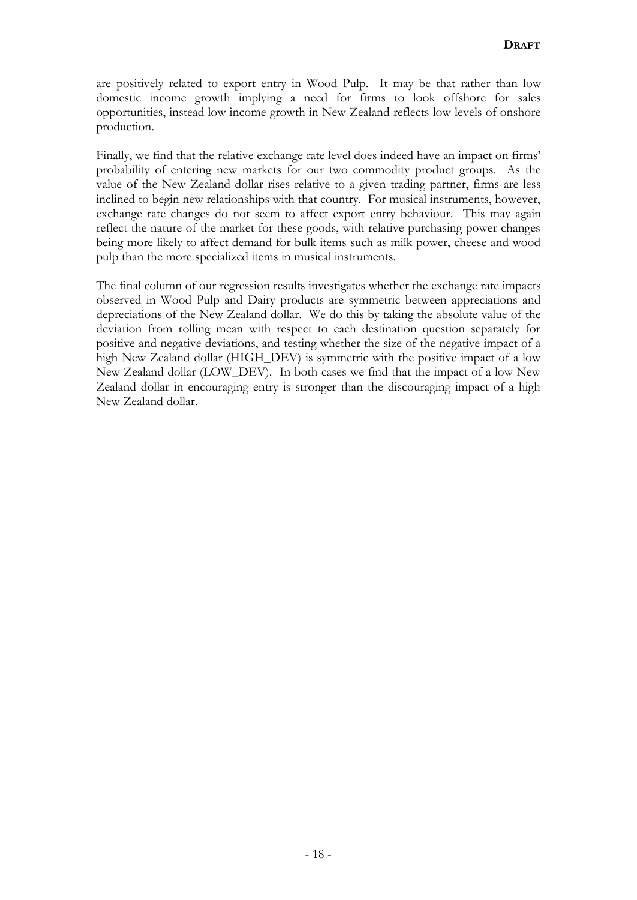are positively related to export entry in Wood Pulp. It may be that rather than low domestic income growth implying a need for firms to look offshore for sales opportunities, instead low income growth in New Zealand reflects low levels of onshore production.

Finally, we find that the relative exchange rate level does indeed have an impact on firms' probability of entering new markets for our two commodity product groups. As the value of the New Zealand dollar rises relative to a given trading partner, firms are less inclined to begin new relationships with that country. For musical instruments, however, exchange rate changes do not seem to affect export entry behaviour. This may again reflect the nature of the market for these goods, with relative purchasing power changes being more likely to affect demand for bulk items such as milk power, cheese and wood pulp than the more specialized items in musical instruments.

The final column of our regression results investigates whether the exchange rate impacts observed in Wood Pulp and Dairy products are symmetric between appreciations and depreciations of the New Zealand dollar. We do this by taking the absolute value of the deviation from rolling mean with respect to each destination question separately for positive and negative deviations, and testing whether the size of the negative impact of a high New Zealand dollar (HIGH\_DEV) is symmetric with the positive impact of a low New Zealand dollar (LOW\_DEV). In both cases we find that the impact of a low New Zealand dollar in encouraging entry is stronger than the discouraging impact of a high New Zealand dollar.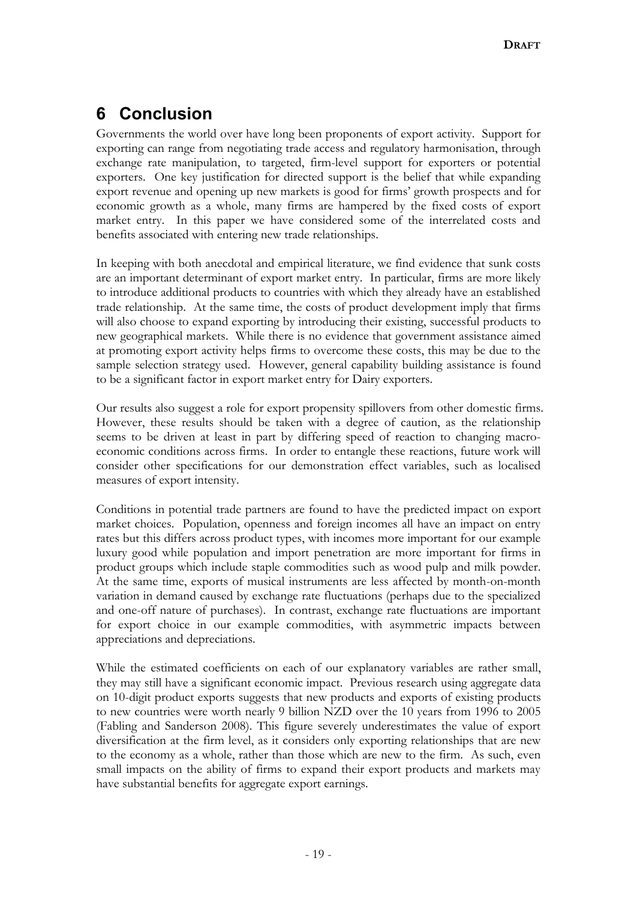# **6 Conclusion**

Governments the world over have long been proponents of export activity. Support for exporting can range from negotiating trade access and regulatory harmonisation, through exchange rate manipulation, to targeted, firm-level support for exporters or potential exporters. One key justification for directed support is the belief that while expanding export revenue and opening up new markets is good for firms' growth prospects and for economic growth as a whole, many firms are hampered by the fixed costs of export market entry. In this paper we have considered some of the interrelated costs and benefits associated with entering new trade relationships.

In keeping with both anecdotal and empirical literature, we find evidence that sunk costs are an important determinant of export market entry. In particular, firms are more likely to introduce additional products to countries with which they already have an established trade relationship. At the same time, the costs of product development imply that firms will also choose to expand exporting by introducing their existing, successful products to new geographical markets. While there is no evidence that government assistance aimed at promoting export activity helps firms to overcome these costs, this may be due to the sample selection strategy used. However, general capability building assistance is found to be a significant factor in export market entry for Dairy exporters.

Our results also suggest a role for export propensity spillovers from other domestic firms. However, these results should be taken with a degree of caution, as the relationship seems to be driven at least in part by differing speed of reaction to changing macroeconomic conditions across firms. In order to entangle these reactions, future work will consider other specifications for our demonstration effect variables, such as localised measures of export intensity.

Conditions in potential trade partners are found to have the predicted impact on export market choices. Population, openness and foreign incomes all have an impact on entry rates but this differs across product types, with incomes more important for our example luxury good while population and import penetration are more important for firms in product groups which include staple commodities such as wood pulp and milk powder. At the same time, exports of musical instruments are less affected by month-on-month variation in demand caused by exchange rate fluctuations (perhaps due to the specialized and one-off nature of purchases). In contrast, exchange rate fluctuations are important for export choice in our example commodities, with asymmetric impacts between appreciations and depreciations.

While the estimated coefficients on each of our explanatory variables are rather small, they may still have a significant economic impact. Previous research using aggregate data on 10-digit product exports suggests that new products and exports of existing products to new countries were worth nearly 9 billion NZD over the 10 years from 1996 to 2005 (Fabling and Sanderson 2008). This figure severely underestimates the value of export diversification at the firm level, as it considers only exporting relationships that are new to the economy as a whole, rather than those which are new to the firm. As such, even small impacts on the ability of firms to expand their export products and markets may have substantial benefits for aggregate export earnings.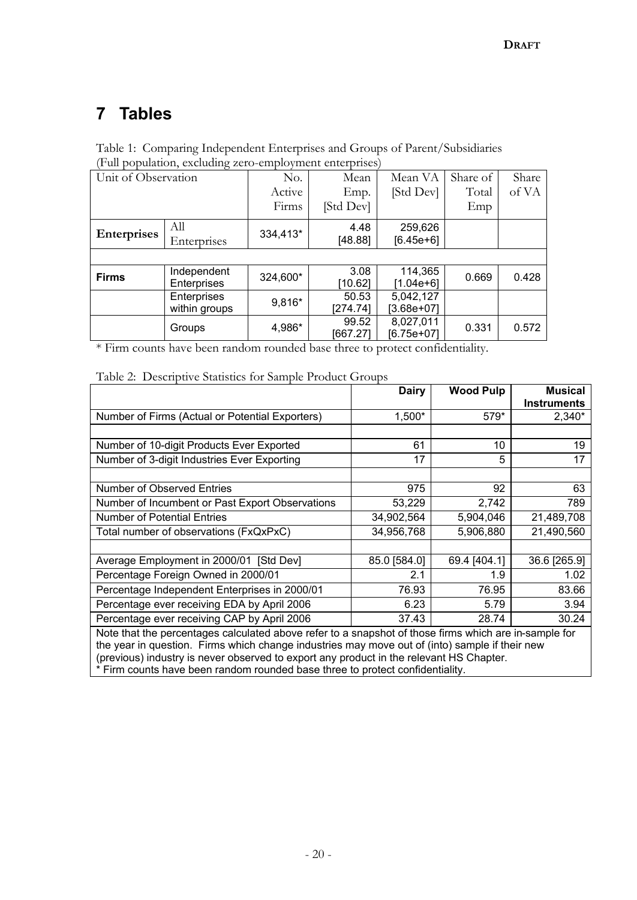# **7 Tables**

| Table 1: Comparing Independent Enterprises and Groups of Parent/Subsidiaries |  |
|------------------------------------------------------------------------------|--|
| (Full population, excluding zero-employment enterprises)                     |  |

| Unit of Observation | $\epsilon$    | No.      | Mean              | Mean VA                   | Share of | Share |
|---------------------|---------------|----------|-------------------|---------------------------|----------|-------|
|                     |               | Active   | Emp.              | [Std Dev]                 | Total    | of VA |
|                     |               | Firms    | [Std Dev]         |                           | Emp      |       |
| Enterprises         | All           | 334,413* | 4.48              | 259,626                   |          |       |
|                     | Enterprises   |          | [48.88]           | $[6.45e+6]$               |          |       |
|                     |               |          |                   |                           |          |       |
| <b>Firms</b>        | Independent   |          | 3.08              | 114,365                   | 0.669    | 0.428 |
|                     | Enterprises   | 324,600* | [10.62]           | [1.04e+6]                 |          |       |
|                     | Enterprises   | 9,816*   | 50.53             | 5,042,127                 |          |       |
|                     | within groups |          | [274.74]          | $[3.68e+07]$              |          |       |
|                     | Groups        | 4,986*   | 99.52<br>[667.27] | 8,027,011<br>$[6.75e+07]$ | 0.331    | 0.572 |

\* Firm counts have been random rounded base three to protect confidentiality.

|                                                                                                                                                                                                         | <b>Dairy</b> | <b>Wood Pulp</b> | <b>Musical</b><br><b>Instruments</b> |  |  |  |  |  |  |
|---------------------------------------------------------------------------------------------------------------------------------------------------------------------------------------------------------|--------------|------------------|--------------------------------------|--|--|--|--|--|--|
| Number of Firms (Actual or Potential Exporters)                                                                                                                                                         | 1,500*       | 579*             | 2,340*                               |  |  |  |  |  |  |
|                                                                                                                                                                                                         |              |                  |                                      |  |  |  |  |  |  |
| Number of 10-digit Products Ever Exported                                                                                                                                                               | 61           | 10               | 19                                   |  |  |  |  |  |  |
| Number of 3-digit Industries Ever Exporting                                                                                                                                                             | 17           | 5                | 17                                   |  |  |  |  |  |  |
|                                                                                                                                                                                                         |              |                  |                                      |  |  |  |  |  |  |
| <b>Number of Observed Entries</b>                                                                                                                                                                       | 975          | 92               | 63                                   |  |  |  |  |  |  |
| Number of Incumbent or Past Export Observations                                                                                                                                                         | 53,229       | 2,742            | 789                                  |  |  |  |  |  |  |
| <b>Number of Potential Entries</b>                                                                                                                                                                      | 34,902,564   | 5,904,046        | 21,489,708                           |  |  |  |  |  |  |
| Total number of observations (FxQxPxC)                                                                                                                                                                  | 34,956,768   | 5,906,880        | 21,490,560                           |  |  |  |  |  |  |
|                                                                                                                                                                                                         |              |                  |                                      |  |  |  |  |  |  |
| Average Employment in 2000/01 [Std Dev]                                                                                                                                                                 | 85.0 [584.0] | 69.4 [404.1]     | 36.6 [265.9]                         |  |  |  |  |  |  |
| Percentage Foreign Owned in 2000/01                                                                                                                                                                     | 2.1          | 1.9              | 1.02                                 |  |  |  |  |  |  |
| Percentage Independent Enterprises in 2000/01                                                                                                                                                           | 76.93        | 76.95            | 83.66                                |  |  |  |  |  |  |
| Percentage ever receiving EDA by April 2006                                                                                                                                                             | 6.23         | 5.79             | 3.94                                 |  |  |  |  |  |  |
| Percentage ever receiving CAP by April 2006                                                                                                                                                             | 37.43        | 28.74            | 30.24                                |  |  |  |  |  |  |
| Note that the percentages calculated above refer to a snapshot of those firms which are in-sample for<br>the year in question. Firms which change industries may move out of (into) sample if their new |              |                  |                                      |  |  |  |  |  |  |
| (previous) industry is never observed to export any product in the relevant HS Chapter.<br>* Firm counts have been random rounded base three to protect confidentiality                                 |              |                  |                                      |  |  |  |  |  |  |

\* Firm counts have been random rounded base three to protect confidentiality.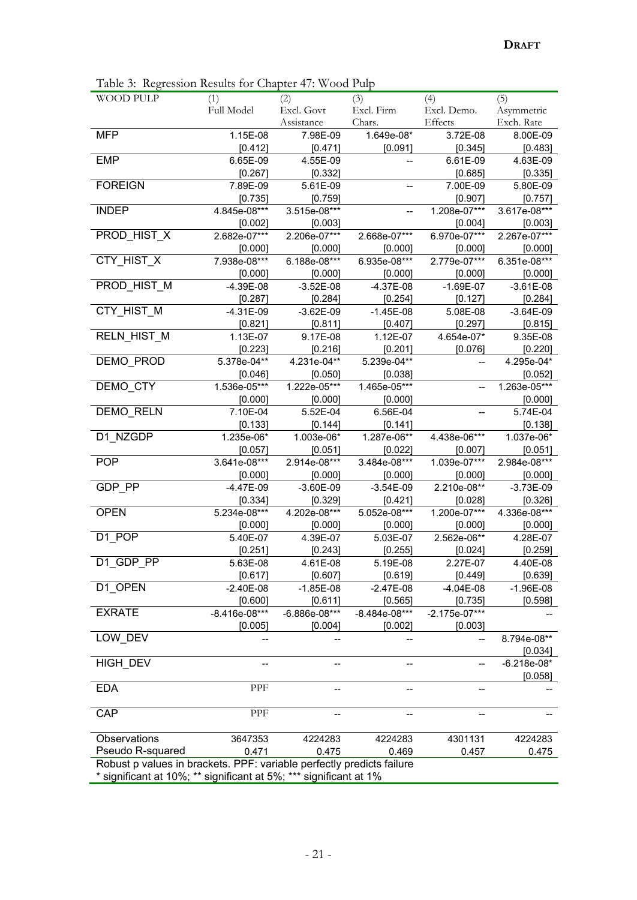Table 3: Regression Results for Chapter 47: Wood Pulp

| WOOD PULP                                                             | (1)             | (2)           | (3)                      | (4)                      | (5)           |
|-----------------------------------------------------------------------|-----------------|---------------|--------------------------|--------------------------|---------------|
|                                                                       | Full Model      | Excl. Govt    | Excl. Firm               | Excl. Demo.              | Asymmetric    |
|                                                                       |                 | Assistance    | Chars.                   | Effects                  | Exch. Rate    |
| <b>MFP</b>                                                            | 1.15E-08        | 7.98E-09      | 1.649e-08*               | 3.72E-08                 | 8.00E-09      |
|                                                                       | [0.412]         | [0.471]       | [0.091]                  | [0.345]                  | [0.483]       |
| <b>EMP</b>                                                            | 6.65E-09        | 4.55E-09      |                          | 6.61E-09                 | 4.63E-09      |
|                                                                       | [0.267]         | [0.332]       |                          | [0.685]                  | [0.335]       |
| <b>FOREIGN</b>                                                        | 7.89E-09        | 5.61E-09      | $\overline{\phantom{a}}$ | 7.00E-09                 | 5.80E-09      |
|                                                                       | [0.735]         | [0.759]       |                          | [0.907]                  | [0.757]       |
| <b>INDEP</b>                                                          | 4.845e-08***    | 3.515e-08***  |                          | 1.208e-07***             | 3.617e-08***  |
|                                                                       | [0.002]         | [0.003]       |                          | [0.004]                  | [0.003]       |
| PROD_HIST_X                                                           | 2.682e-07***    | 2.206e-07***  | 2.668e-07***             | 6.970e-07***             | 2.267e-07***  |
|                                                                       | [0.000]         | [0.000]       | [0.000]                  | [0.000]                  | [0.000]       |
| CTY_HIST_X                                                            | 7.938e-08***    | 6.188e-08***  | 6.935e-08***             | 2.779e-07***             | 6.351e-08***  |
|                                                                       | [0.000]         | [0.000]       | [0.000]                  | [0.000]                  | [0.000]       |
| PROD_HIST_M                                                           | $-4.39E-08$     | $-3.52E-08$   | $-4.37E-08$              | $-1.69E-07$              | $-3.61E-08$   |
|                                                                       | [0.287]         | [0.284]       | [0.254]                  | [0.127]                  | [0.284]       |
| CTY_HIST_M                                                            | $-4.31E-09$     | $-3.62E-09$   | $-1.45E-08$              | 5.08E-08                 | $-3.64E-09$   |
|                                                                       | [0.821]         | [0.811]       | $[0.407]$                | [0.297]                  | [0.815]       |
| RELN_HIST_M                                                           | 1.13E-07        | 9.17E-08      | 1.12E-07                 | 4.654e-07*               | 9.35E-08      |
|                                                                       | [0.223]         | [0.216]       | [0.201]                  | [0.076]                  | [0.220]       |
| DEMO_PROD                                                             | 5.378e-04**     | 4.231e-04**   | 5.239e-04**              | $\overline{a}$           | 4.295e-04*    |
|                                                                       | [0.046]         | [0.050]       | [0.038]                  |                          | [0.052]       |
| DEMO_CTY                                                              | 1.536e-05***    | 1.222e-05***  | 1.465e-05***             | $-$                      | 1.263e-05***  |
|                                                                       | [0.000]         | [0.000]       | [0.000]                  |                          | [0.000]       |
| DEMO_RELN                                                             | 7.10E-04        | 5.52E-04      | 6.56E-04                 | $\overline{\phantom{a}}$ | 5.74E-04      |
|                                                                       | [0.133]         | [0.144]       | [0.141]                  |                          | [0.138]       |
| D1_NZGDP                                                              | 1.235e-06*      | 1.003e-06*    | 1.287e-06**              | 4.438e-06***             | 1.037e-06*    |
|                                                                       | [0.057]         | [0.051]       | [0.022]                  | [0.007]                  | [0.051]       |
| <b>POP</b>                                                            | 3.641e-08***    | 2.914e-08***  | 3.484e-08***             | 1.039e-07***             | 2.984e-08***  |
|                                                                       | [0.000]         | [0.000]       | [0.000]                  | [0.000]                  | [0.000]       |
| GDP_PP                                                                | $-4.47E-09$     | $-3.60E-09$   | $-3.54E-09$              | 2.210e-08**              | $-3.73E-09$   |
|                                                                       | [0.334]         | [0.329]       | [0.421]                  | [0.028]                  | [0.326]       |
| <b>OPEN</b>                                                           | 5.234e-08***    | 4.202e-08***  | 5.052e-08***             | 1.200e-07***             | 4.336e-08***  |
|                                                                       | [0.000]         | [0.000]       | [0.000]                  | [0.000]                  | [0.000]       |
| D1_POP                                                                | 5.40E-07        | 4.39E-07      | 5.03E-07                 | 2.562e-06**              | 4.28E-07      |
|                                                                       | [0.251]         | [0.243]       | [0.255]                  | [0.024]                  | [0.259]       |
| D1 GDP PP                                                             | 5.63E-08        | 4.61E-08      | 5.19E-08                 | 2.27E-07                 | 4.40E-08      |
|                                                                       | [0.617]         | [0.607]       | [0.619]                  | [0.449]                  | [0.639]       |
| D1_OPEN                                                               | $-2.40E-08$     | $-1.85E-08$   | $-2.47E-08$              | $-4.04E-08$              | $-1.96E-08$   |
|                                                                       | [0.600]         | [0.611]       | [0.565]                  | [0.735]                  | [0.598]       |
| <b>EXRATE</b>                                                         | $-8.416e-08***$ | -6.886e-08*** | $-8.484e-08***$          | -2.175e-07***            |               |
|                                                                       | [0.005]         | [0.004]       | [0.002]                  | [0.003]                  |               |
| LOW DEV                                                               |                 |               |                          |                          | 8.794e-08**   |
|                                                                       |                 |               |                          |                          | [0.034]       |
| HIGH_DEV                                                              |                 |               |                          |                          | $-6.218e-08*$ |
|                                                                       |                 |               |                          |                          | [0.058]       |
| <b>EDA</b>                                                            | PPF             |               |                          |                          |               |
|                                                                       |                 |               |                          |                          |               |
| CAP                                                                   | PPF             |               |                          |                          |               |
|                                                                       |                 |               |                          |                          |               |
| Observations                                                          | 3647353         | 4224283       | 4224283                  | 4301131                  | 4224283       |
| Pseudo R-squared                                                      | 0.471           | 0.475         | 0.469                    | 0.457                    | 0.475         |
| Robust p values in brackets. PPF: variable perfectly predicts failure |                 |               |                          |                          |               |
| * significant at 10%; ** significant at 5%; *** significant at 1%     |                 |               |                          |                          |               |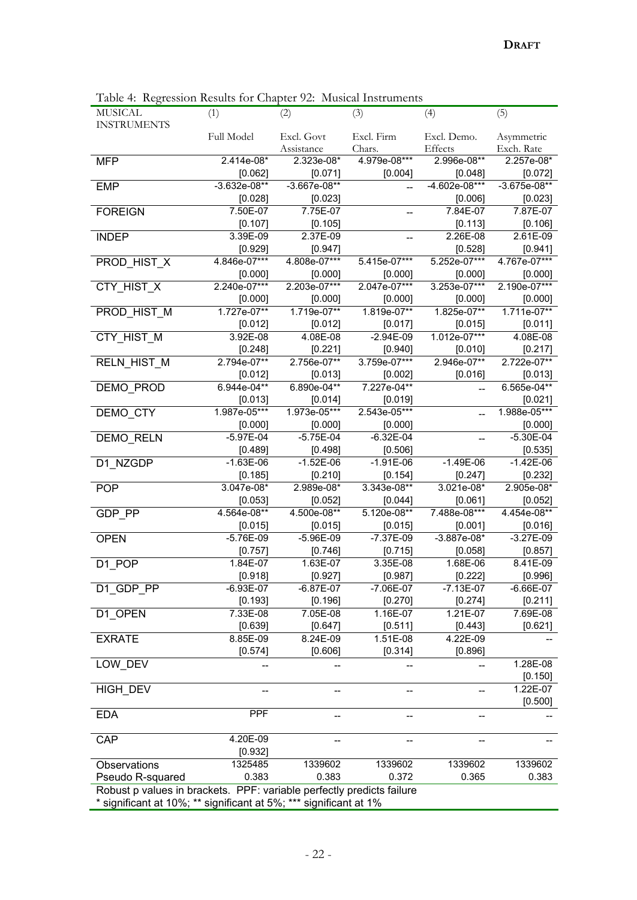| MUSICAL                                                               | (1)               | (2)                      | (3)                      | (4)                    | (5)                      |  |
|-----------------------------------------------------------------------|-------------------|--------------------------|--------------------------|------------------------|--------------------------|--|
| <b>INSTRUMENTS</b>                                                    |                   |                          |                          |                        |                          |  |
|                                                                       | <b>Full Model</b> | Excl. Govt<br>Assistance | Excl. Firm<br>Chars.     | Excl. Demo.<br>Effects | Asymmetric<br>Exch. Rate |  |
| <b>MFP</b>                                                            | 2.414e-08*        | 2.323e-08*               | 4.979e-08***             | 2.996e-08**            | 2.257e-08*               |  |
|                                                                       | [0.062]           | [0.071]                  | [0.004]                  | [0.048]                | [0.072]                  |  |
| <b>EMP</b>                                                            | $-3.632e-08**$    | $-3.667e-08**$           |                          | $-4.602e-08***$        | $-3.675e-08**$           |  |
|                                                                       | [0.028]           | [0.023]                  |                          | [0.006]                | [0.023]                  |  |
| <b>FOREIGN</b>                                                        | 7.50E-07          | 7.75E-07                 | $\overline{\phantom{a}}$ | 7.84E-07               | 7.87E-07                 |  |
|                                                                       | [0.107]           | [0.105]                  |                          | [0.113]                | [0.106]                  |  |
| <b>INDEP</b>                                                          | 3.39E-09          | 2.37E-09                 |                          | 2.26E-08               | $2.61E-09$               |  |
|                                                                       | [0.929]           | [0.947]                  |                          | [0.528]                | [0.941]                  |  |
| PROD_HIST_X                                                           | 4.846e-07***      | 4.808e-07***             | $5.415e-07***$           | 5.252e-07***           | 4.767e-07***             |  |
|                                                                       | [0.000]           | [0.000]                  | [0.000]                  | [0.000]                | [0.000]                  |  |
| CTY_HIST_X                                                            | 2.240e-07***      | 2.203e-07***             | 2.047e-07***             | 3.253e-07***           | 2.190e-07***             |  |
|                                                                       | [0.000]           | [0.000]                  | [0.000]                  | [0.000]                | [0.000]                  |  |
| PROD_HIST_M                                                           | 1.727e-07**       | 1.719e-07**              | 1.819e-07**              | 1.825e-07**            | 1.711e-07**              |  |
|                                                                       | [0.012]           | [0.012]                  | [0.017]                  | [0.015]                | [0.011]                  |  |
| CTY_HIST_M                                                            | 3.92E-08          | 4.08E-08                 | $-2.94E-09$              | 1.012e-07***           | 4.08E-08                 |  |
|                                                                       | [0.248]           | [0.221]                  | [0.940]                  | [0.010]                | [0.217]                  |  |
| RELN_HIST_M                                                           | 2.794e-07**       | 2.756e-07**              | 3.759e-07***             | 2.946e-07**            | 2.722e-07**              |  |
|                                                                       | [0.012]           | [0.013]                  | [0.002]                  | [0.016]                | [0.013]                  |  |
| DEMO_PROD                                                             | 6.944e-04**       | 6.890e-04**              | 7.227e-04**              | $\overline{a}$         | 6.565e-04**              |  |
|                                                                       | [0.013]           | [0.014]                  | [0.019]                  |                        | [0.021]                  |  |
| DEMO_CTY                                                              | 1.987e-05***      | 1.973e-05***             | 2.543e-05***             |                        | 1.988e-05***             |  |
|                                                                       | [0.000]           | [0.000]                  | [0.000]                  |                        | [0.000]                  |  |
| DEMO_RELN                                                             | $-5.97E-04$       | $-5.75E-04$              | $-6.32E-04$              |                        | $-5.30E-04$              |  |
|                                                                       | [0.489]           | [0.498]                  | [0.506]                  |                        | [0.535]                  |  |
| D1_NZGDP                                                              | $-1.63E-06$       | $-1.52E-06$              | $-1.91E-06$              | $-1.49E-06$            | $-1.42E-06$              |  |
|                                                                       | [0.185]           | [0.210]                  | [0.154]                  | [0.247]                | [0.232]                  |  |
| <b>POP</b>                                                            | 3.047e-08*        | 2.989e-08*               | 3.343e-08**              | 3.021e-08*             | 2.905e-08*               |  |
|                                                                       | [0.053]           | [0.052]                  | [0.044]                  | [0.061]                | [0.052]                  |  |
| GDP_PP                                                                | 4.564e-08**       | 4.500e-08**              | 5.120e-08**              | 7.488e-08***           | 4.454e-08**              |  |
|                                                                       | [0.015]           | [0.015]                  | [0.015]                  | [0.001]                | [0.016]                  |  |
| <b>OPEN</b>                                                           | $-5.76E-09$       | $-5.96E-09$              | $-7.37E-09$              | $-3.887e-08*$          | $-3.27E-09$              |  |
|                                                                       | [0.757]           | [0.746]                  | [0.715]                  | [0.058]                | [0.857]                  |  |
| $D1$ <sub>_POP</sub>                                                  | 1.84E-07          | 1.63E-07                 | 3.35E-08                 | 1.68E-06               | 8.41E-09                 |  |
|                                                                       | [0.918]           | [0.927]                  | [0.987]                  | [0.222]                | [0.996]                  |  |
| D1_GDP_PP                                                             | $-6.93E - 07$     | $-6.87E-07$              | $-7.06E - 07$            | $-7.13E-07$            | $-6.66E - 07$            |  |
|                                                                       | [0.193]           | [0.196]                  | [0.270]                  | [0.274]                | [0.211]                  |  |
| D1 OPEN                                                               | 7.33E-08          | 7.05E-08                 | 1.16E-07                 | 1.21E-07               | 7.69E-08                 |  |
|                                                                       | [0.639]           | [0.647]                  | [0.511]                  | [0.443]                | [0.621]                  |  |
| <b>EXRATE</b>                                                         | 8.85E-09          | 8.24E-09                 | 1.51E-08                 | 4.22E-09               |                          |  |
|                                                                       | [0.574]           | [0.606]                  | [0.314]                  | [0.896]                |                          |  |
| LOW DEV                                                               |                   |                          |                          |                        | 1.28E-08                 |  |
|                                                                       |                   |                          |                          |                        | [0.150]                  |  |
| HIGH DEV                                                              |                   |                          |                          |                        | 1.22E-07                 |  |
|                                                                       |                   |                          |                          |                        | [0.500]                  |  |
| <b>EDA</b>                                                            | <b>PPF</b>        |                          |                          |                        |                          |  |
|                                                                       |                   |                          |                          |                        |                          |  |
| CAP                                                                   | 4.20E-09          |                          |                          |                        |                          |  |
|                                                                       | [0.932]           |                          |                          |                        |                          |  |
| Observations                                                          | 1325485           | 1339602                  | 1339602                  | 1339602                | 1339602                  |  |
| Pseudo R-squared                                                      | 0.383             | 0.383                    | 0.372                    | 0.365                  | 0.383                    |  |
| Robust p values in brackets. PPF: variable perfectly predicts failure |                   |                          |                          |                        |                          |  |
| * significant at 10%; ** significant at 5%; *** significant at 1%     |                   |                          |                          |                        |                          |  |

Table 4: Regression Results for Chapter 92: Musical Instruments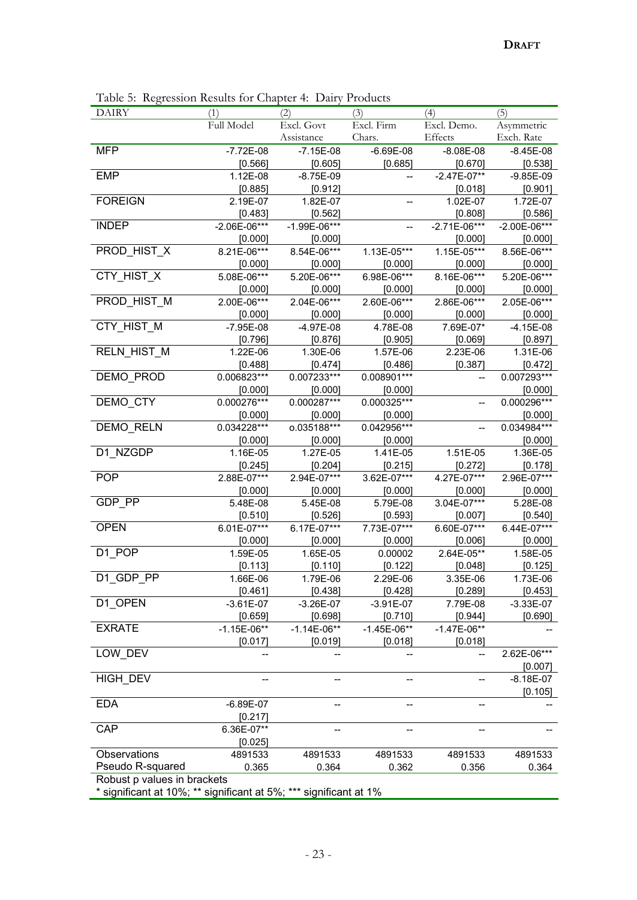| <b>DAIRY</b>                                                      | (2)<br>(1)     |                  | (3)           | (4)            | (5)              |  |
|-------------------------------------------------------------------|----------------|------------------|---------------|----------------|------------------|--|
|                                                                   | Full Model     | Excl. Govt       | Excl. Firm    | Excl. Demo.    | Asymmetric       |  |
|                                                                   |                | Assistance       | Chars.        | Effects        | Exch. Rate       |  |
| <b>MFP</b>                                                        | $-7.72E-08$    | $-7.15E-08$      | $-6.69E-08$   | $-8.08E-08$    | $-8.45E-08$      |  |
|                                                                   | [0.566]        | [0.605]          | [0.685]       | [0.670]        | [0.538]          |  |
| <b>EMP</b>                                                        | 1.12E-08       | $-8.75E-09$      |               | $-2.47E-07**$  | $-9.85E-09$      |  |
|                                                                   | [0.885]        | [0.912]          |               | [0.018]        | [0.901]          |  |
| <b>FOREIGN</b>                                                    | 2.19E-07       | 1.82E-07         |               | 1.02E-07       | 1.72E-07         |  |
|                                                                   | [0.483]        | [0.562]          |               | [0.808]        | [0.586]          |  |
| <b>INDEP</b>                                                      | $-2.06E-06***$ | $-1.99E - 06***$ |               | $-2.71E-06***$ | $-2.00E - 06***$ |  |
|                                                                   | [0.000]        | [0.000]          |               | [0.000]        | [0.000]          |  |
| PROD_HIST_X                                                       | 8.21E-06***    | 8.54E-06***      | 1.13E-05***   | 1.15E-05***    | 8.56E-06***      |  |
|                                                                   | [0.000]        | [0.000]          | [0.000]       | [0.000]        | [0.000]          |  |
| CTY_HIST_X                                                        | 5.08E-06***    | 5.20E-06***      | 6.98E-06***   | 8.16E-06***    | 5.20E-06***      |  |
|                                                                   | [0.000]        | [0.000]          | [0.000]       | [0.000]        | [0.000]          |  |
| PROD_HIST_M                                                       | 2.00E-06***    | 2.04E-06***      | 2.60E-06***   | 2.86E-06***    | 2.05E-06***      |  |
|                                                                   | [0.000]        | [0.000]          | [0.000]       | [0.000]        | [0.000]          |  |
| CTY_HIST_M                                                        | $-7.95E-08$    | $-4.97E-08$      | 4.78E-08      | 7.69E-07*      | $-4.15E-08$      |  |
|                                                                   | [0.796]        | [0.876]          | [0.905]       | [0.069]        | [0.897]          |  |
| RELN_HIST_M                                                       | 1.22E-06       | 1.30E-06         | 1.57E-06      | 2.23E-06       | 1.31E-06         |  |
|                                                                   | [0.488]        | [0.474]          | [0.486]       | [0.387]        | [0.472]          |  |
| DEMO_PROD                                                         | 0.006823***    | $0.007233***$    | 0.008901***   | --             | 0.007293***      |  |
|                                                                   | [0.000]        | [0.000]          | [0.000]       |                | [0.000]          |  |
| DEMO_CTY                                                          | 0.000276***    | 0.000287***      | 0.000325***   |                | 0.000296***      |  |
|                                                                   | [0.000]        | [0.000]          | [0.000]       |                | [0.000]          |  |
| DEMO_RELN                                                         | $0.034228***$  | o.035188***      | 0.042956***   | --             | 0.034984***      |  |
|                                                                   | [0.000]        | [0.000]          | [0.000]       |                | [0.000]          |  |
| D1_NZGDP                                                          | 1.16E-05       | 1.27E-05         | 1.41E-05      | 1.51E-05       | 1.36E-05         |  |
|                                                                   | [0.245]        | [0.204]          | [0.215]       | [0.272]        | [0.178]          |  |
| <b>POP</b>                                                        | 2.88E-07***    | 2.94E-07***      | 3.62E-07***   | 4.27E-07***    | 2.96E-07***      |  |
|                                                                   | [0.000]        | [0.000]          | [0.000]       | [0.000]        | [0.000]          |  |
| GDP_PP                                                            | 5.48E-08       | 5.45E-08         | 5.79E-08      | 3.04E-07***    | 5.28E-08         |  |
|                                                                   | [0.510]        | [0.526]          | [0.593]       | [0.007]        | [0.540]          |  |
| <b>OPEN</b>                                                       | 6.01E-07***    | 6.17E-07***      | 7.73E-07***   | 6.60E-07***    | 6.44E-07***      |  |
|                                                                   | [0.000]        | [0.000]          | [0.000]       | [0.006]        | [0.000]          |  |
| D1_POP                                                            | 1.59E-05       | 1.65E-05         | 0.00002       | 2.64E-05**     | 1.58E-05         |  |
|                                                                   | [0.113]        | [0.110]          | [0.122]       | [0.048]        | [0.125]          |  |
| D1 GDP PP                                                         | 1.66E-06       | 1.79E-06         | 2.29E-06      | 3.35E-06       | 1.73E-06         |  |
|                                                                   | [0.461]        | [0.438]          | [0.428]       | [0.289]        | [0.453]          |  |
| D1_OPEN                                                           | $-3.61E-07$    | $-3.26E-07$      | $-3.91E-07$   | 7.79E-08       | $-3.33E-07$      |  |
|                                                                   | [0.659]        | [0.698]          | [0.710]       | [0.944]        | [0.690]          |  |
| <b>EXRATE</b>                                                     | $-1.15E-06**$  | $-1.14E-06**$    | $-1.45E-06**$ | $-1.47E-06**$  |                  |  |
|                                                                   | [0.017]        | [0.019]          | [0.018]       | [0.018]        |                  |  |
| LOW DEV                                                           |                |                  |               |                | 2.62E-06***      |  |
|                                                                   |                |                  |               |                | [0.007]          |  |
| HIGH_DEV                                                          |                |                  |               |                | $-8.18E - 07$    |  |
|                                                                   |                |                  |               |                | [0.105]          |  |
| <b>EDA</b>                                                        | $-6.89E-07$    |                  |               |                |                  |  |
|                                                                   | [0.217]        |                  |               |                |                  |  |
| <b>CAP</b>                                                        | 6.36E-07**     |                  |               |                |                  |  |
|                                                                   | [0.025]        |                  |               |                |                  |  |
| Observations                                                      | 4891533        | 4891533          | 4891533       | 4891533        | 4891533          |  |
| Pseudo R-squared                                                  | 0.365          | 0.364            | 0.362         | 0.356          | 0.364            |  |
| Robust p values in brackets                                       |                |                  |               |                |                  |  |
| * significant at 10%; ** significant at 5%; *** significant at 1% |                |                  |               |                |                  |  |

Table 5: Regression Results for Chapter 4: Dairy Products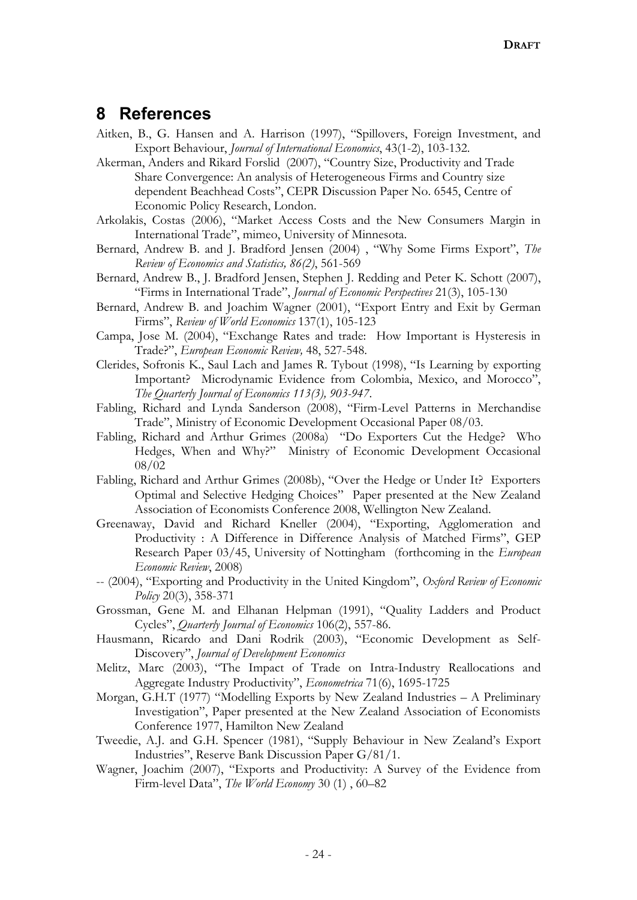### **8 References**

- Aitken, B., G. Hansen and A. Harrison (1997), "Spillovers, Foreign Investment, and Export Behaviour, *Journal of International Economics*, 43(1-2), 103-132.
- Akerman, Anders and Rikard Forslid (2007), "Country Size, Productivity and Trade Share Convergence: An analysis of Heterogeneous Firms and Country size dependent Beachhead Costs", CEPR Discussion Paper No. 6545, Centre of Economic Policy Research, London.
- Arkolakis, Costas (2006), "Market Access Costs and the New Consumers Margin in International Trade", mimeo, University of Minnesota.
- Bernard, Andrew B. and J. Bradford Jensen (2004) , "Why Some Firms Export", *The Review of Economics and Statistics, 86(2)*, 561-569
- Bernard, Andrew B., J. Bradford Jensen, Stephen J. Redding and Peter K. Schott (2007), "Firms in International Trade", *Journal of Economic Perspectives* 21(3), 105-130
- Bernard, Andrew B. and Joachim Wagner (2001), "Export Entry and Exit by German Firms", *Review of World Economics* 137(1), 105-123
- Campa, Jose M. (2004), "Exchange Rates and trade: How Important is Hysteresis in Trade?", *European Economic Review,* 48, 527-548.
- Clerides, Sofronis K., Saul Lach and James R. Tybout (1998), "Is Learning by exporting Important? Microdynamic Evidence from Colombia, Mexico, and Morocco", *The Quarterly Journal of Economics 113(3), 903-947*.
- Fabling, Richard and Lynda Sanderson (2008), "Firm-Level Patterns in Merchandise Trade", Ministry of Economic Development Occasional Paper 08/03.
- Fabling, Richard and Arthur Grimes (2008a) "Do Exporters Cut the Hedge? Who Hedges, When and Why?" Ministry of Economic Development Occasional 08/02
- Fabling, Richard and Arthur Grimes (2008b), "Over the Hedge or Under It? Exporters Optimal and Selective Hedging Choices" Paper presented at the New Zealand Association of Economists Conference 2008, Wellington New Zealand.
- Greenaway, David and Richard Kneller (2004), "Exporting, Agglomeration and Productivity : A Difference in Difference Analysis of Matched Firms", GEP Research Paper 03/45, University of Nottingham (forthcoming in the *European Economic Review*, 2008)
- -- (2004), "Exporting and Productivity in the United Kingdom", *Oxford Review of Economic Policy* 20(3), 358-371
- Grossman, Gene M. and Elhanan Helpman (1991), "Quality Ladders and Product Cycles", *Quarterly Journal of Economics* 106(2), 557-86.
- Hausmann, Ricardo and Dani Rodrik (2003), "Economic Development as Self-Discovery", *Journal of Development Economics*
- Melitz, Marc (2003), "The Impact of Trade on Intra-Industry Reallocations and Aggregate Industry Productivity", *Econometrica* 71(6), 1695-1725
- Morgan, G.H.T (1977) "Modelling Exports by New Zealand Industries A Preliminary Investigation", Paper presented at the New Zealand Association of Economists Conference 1977, Hamilton New Zealand
- Tweedie, A.J. and G.H. Spencer (1981), "Supply Behaviour in New Zealand's Export Industries", Reserve Bank Discussion Paper G/81/1.
- Wagner, Joachim (2007), "Exports and Productivity: A Survey of the Evidence from Firm-level Data", *The World Economy* 30 (1) , 60–82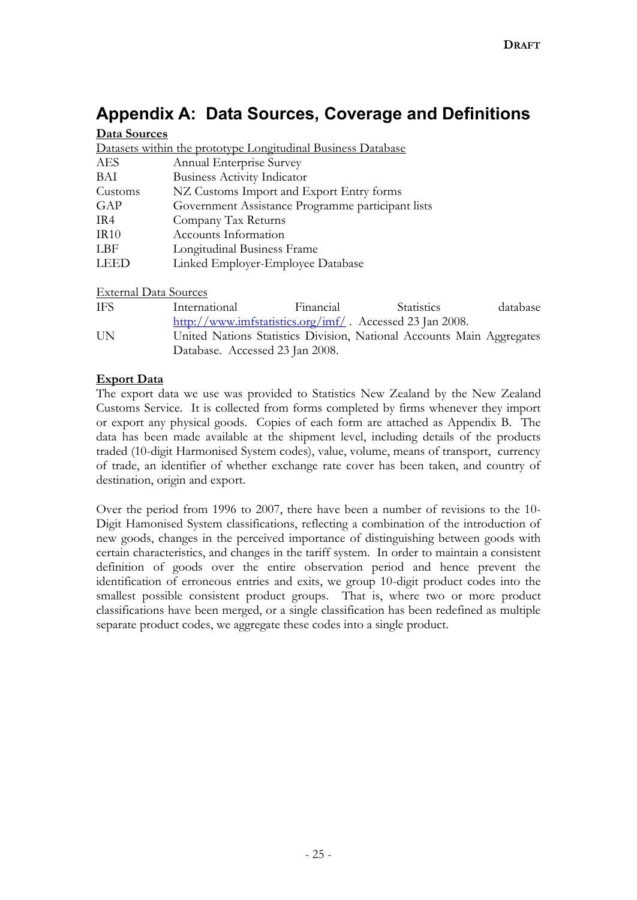# **Appendix A: Data Sources, Coverage and Definitions**

#### **Data Sources**

| Datasets within the prototype Longitudinal Business Database |                                                   |  |  |  |  |  |
|--------------------------------------------------------------|---------------------------------------------------|--|--|--|--|--|
| <b>AES</b>                                                   | Annual Enterprise Survey                          |  |  |  |  |  |
| BAI                                                          | <b>Business Activity Indicator</b>                |  |  |  |  |  |
| Customs                                                      | NZ Customs Import and Export Entry forms          |  |  |  |  |  |
| GAP                                                          | Government Assistance Programme participant lists |  |  |  |  |  |
| IR4                                                          | Company Tax Returns                               |  |  |  |  |  |
| IR10                                                         | Accounts Information                              |  |  |  |  |  |
| LBF                                                          | Longitudinal Business Frame                       |  |  |  |  |  |
| LEED                                                         | Linked Employer-Employee Database                 |  |  |  |  |  |

#### External Data Sources

| IFS | International                                                         | Financial | <b>Statistics</b> | database |
|-----|-----------------------------------------------------------------------|-----------|-------------------|----------|
|     | http://www.imfstatistics.org/imf/. Accessed 23 Jan 2008.              |           |                   |          |
| UN. | United Nations Statistics Division, National Accounts Main Aggregates |           |                   |          |
|     | Database. Accessed 23 Jan 2008.                                       |           |                   |          |

#### **Export Data**

The export data we use was provided to Statistics New Zealand by the New Zealand Customs Service. It is collected from forms completed by firms whenever they import or export any physical goods. Copies of each form are attached as Appendix B. The data has been made available at the shipment level, including details of the products traded (10-digit Harmonised System codes), value, volume, means of transport, currency of trade, an identifier of whether exchange rate cover has been taken, and country of destination, origin and export.

Over the period from 1996 to 2007, there have been a number of revisions to the 10- Digit Hamonised System classifications, reflecting a combination of the introduction of new goods, changes in the perceived importance of distinguishing between goods with certain characteristics, and changes in the tariff system. In order to maintain a consistent definition of goods over the entire observation period and hence prevent the identification of erroneous entries and exits, we group 10-digit product codes into the smallest possible consistent product groups. That is, where two or more product classifications have been merged, or a single classification has been redefined as multiple separate product codes, we aggregate these codes into a single product.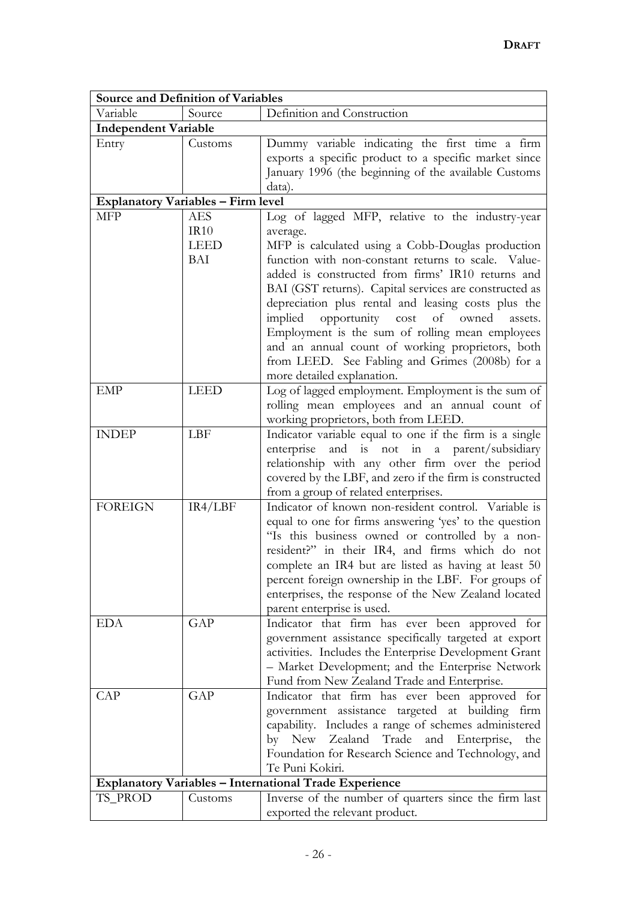| <b>Source and Definition of Variables</b> |                            |                                                                                                                                                                                                                                                                                                                                                                                                                                                                                                      |  |  |  |  |  |
|-------------------------------------------|----------------------------|------------------------------------------------------------------------------------------------------------------------------------------------------------------------------------------------------------------------------------------------------------------------------------------------------------------------------------------------------------------------------------------------------------------------------------------------------------------------------------------------------|--|--|--|--|--|
| Variable                                  | Source                     | Definition and Construction                                                                                                                                                                                                                                                                                                                                                                                                                                                                          |  |  |  |  |  |
| <b>Independent Variable</b>               |                            |                                                                                                                                                                                                                                                                                                                                                                                                                                                                                                      |  |  |  |  |  |
| Entry                                     | Customs                    | Dummy variable indicating the first time a firm<br>exports a specific product to a specific market since<br>January 1996 (the beginning of the available Customs<br>data).                                                                                                                                                                                                                                                                                                                           |  |  |  |  |  |
| <b>Explanatory Variables - Firm level</b> |                            |                                                                                                                                                                                                                                                                                                                                                                                                                                                                                                      |  |  |  |  |  |
| MFP                                       | <b>AES</b>                 | Log of lagged MFP, relative to the industry-year                                                                                                                                                                                                                                                                                                                                                                                                                                                     |  |  |  |  |  |
|                                           | IR10<br><b>LEED</b><br>BAI | average.<br>MFP is calculated using a Cobb-Douglas production<br>function with non-constant returns to scale. Value-<br>added is constructed from firms' IR10 returns and<br>BAI (GST returns). Capital services are constructed as<br>depreciation plus rental and leasing costs plus the<br>implied opportunity cost of owned<br>assets.<br>Employment is the sum of rolling mean employees<br>and an annual count of working proprietors, both<br>from LEED. See Fabling and Grimes (2008b) for a |  |  |  |  |  |
|                                           |                            | more detailed explanation.                                                                                                                                                                                                                                                                                                                                                                                                                                                                           |  |  |  |  |  |
| <b>EMP</b>                                | <b>LEED</b>                | Log of lagged employment. Employment is the sum of<br>rolling mean employees and an annual count of<br>working proprietors, both from LEED.                                                                                                                                                                                                                                                                                                                                                          |  |  |  |  |  |
| <b>INDEP</b>                              | LBF                        | Indicator variable equal to one if the firm is a single<br>enterprise and is not in a parent/subsidiary<br>relationship with any other firm over the period<br>covered by the LBF, and zero if the firm is constructed<br>from a group of related enterprises.                                                                                                                                                                                                                                       |  |  |  |  |  |
| <b>FOREIGN</b>                            | IR4/LBF                    | Indicator of known non-resident control. Variable is<br>equal to one for firms answering 'yes' to the question<br>"Is this business owned or controlled by a non-<br>resident?" in their IR4, and firms which do not<br>complete an IR4 but are listed as having at least 50<br>percent foreign ownership in the LBF. For groups of<br>enterprises, the response of the New Zealand located<br>parent enterprise is used.                                                                            |  |  |  |  |  |
| EDA                                       | GAP                        | Indicator that firm has ever been approved for<br>government assistance specifically targeted at export<br>activities. Includes the Enterprise Development Grant<br>- Market Development; and the Enterprise Network<br>Fund from New Zealand Trade and Enterprise.                                                                                                                                                                                                                                  |  |  |  |  |  |
| <b>CAP</b>                                | GAP                        | Indicator that firm has ever been approved for<br>government assistance targeted at building firm<br>capability. Includes a range of schemes administered<br>Zealand Trade<br>and Enterprise,<br>by New<br>the<br>Foundation for Research Science and Technology, and<br>Te Puni Kokiri.                                                                                                                                                                                                             |  |  |  |  |  |
|                                           |                            | <b>Explanatory Variables - International Trade Experience</b>                                                                                                                                                                                                                                                                                                                                                                                                                                        |  |  |  |  |  |
| TS_PROD                                   | Customs                    | Inverse of the number of quarters since the firm last<br>exported the relevant product.                                                                                                                                                                                                                                                                                                                                                                                                              |  |  |  |  |  |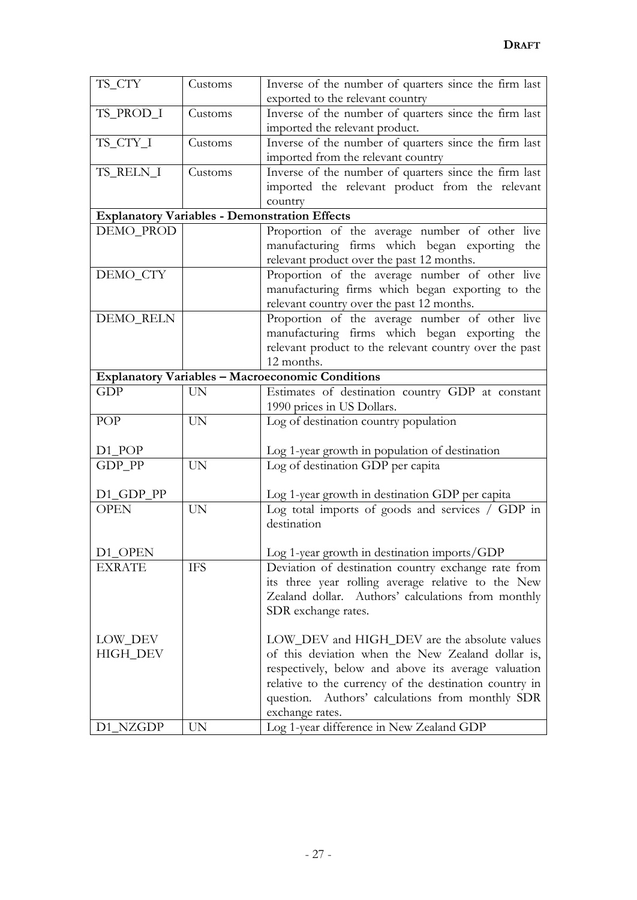| TS_CTY               | Customs   | Inverse of the number of quarters since the firm last   |
|----------------------|-----------|---------------------------------------------------------|
|                      |           | exported to the relevant country                        |
| TS_PROD_I            | Customs   | Inverse of the number of quarters since the firm last   |
|                      |           | imported the relevant product.                          |
| TS_CTY_I             | Customs   | Inverse of the number of quarters since the firm last   |
|                      |           | imported from the relevant country                      |
| TS_RELN_I            | Customs   | Inverse of the number of quarters since the firm last   |
|                      |           | imported the relevant product from the relevant         |
|                      |           | country                                                 |
|                      |           | <b>Explanatory Variables - Demonstration Effects</b>    |
| DEMO_PROD            |           | Proportion of the average number of other live          |
|                      |           | manufacturing firms which began exporting the           |
|                      |           | relevant product over the past 12 months.               |
| DEMO_CTY             |           | Proportion of the average number of other live          |
|                      |           | manufacturing firms which began exporting to the        |
|                      |           | relevant country over the past 12 months.               |
| DEMO_RELN            |           | Proportion of the average number of other live          |
|                      |           | manufacturing firms which began exporting the           |
|                      |           | relevant product to the relevant country over the past  |
|                      |           | 12 months.                                              |
|                      |           | <b>Explanatory Variables - Macroeconomic Conditions</b> |
| <b>GDP</b>           | <b>UN</b> | Estimates of destination country GDP at constant        |
|                      |           | 1990 prices in US Dollars.                              |
| POP                  | <b>UN</b> | Log of destination country population                   |
|                      |           |                                                         |
| $D1$ <sub>-POP</sub> |           | Log 1-year growth in population of destination          |
| GDP_PP               | <b>UN</b> | Log of destination GDP per capita                       |
|                      |           |                                                         |
| D1_GDP_PP            |           | Log 1-year growth in destination GDP per capita         |
| <b>OPEN</b>          | <b>UN</b> | Log total imports of goods and services / GDP in        |
|                      |           | destination                                             |
|                      |           |                                                         |
| D1_OPEN              |           | Log 1-year growth in destination imports/GDP            |
| <b>EXRATE</b>        | IFS       | Deviation of destination country exchange rate from     |
|                      |           | its three year rolling average relative to the New      |
|                      |           | Zealand dollar. Authors' calculations from monthly      |
|                      |           | SDR exchange rates.                                     |
|                      |           |                                                         |
| LOW_DEV              |           | LOW_DEV and HIGH_DEV are the absolute values            |
| HIGH_DEV             |           | of this deviation when the New Zealand dollar is,       |
|                      |           | respectively, below and above its average valuation     |
|                      |           | relative to the currency of the destination country in  |
|                      |           | Authors' calculations from monthly SDR<br>question.     |
|                      |           | exchange rates.                                         |
| D1_NZGDP             | <b>UN</b> | Log 1-year difference in New Zealand GDP                |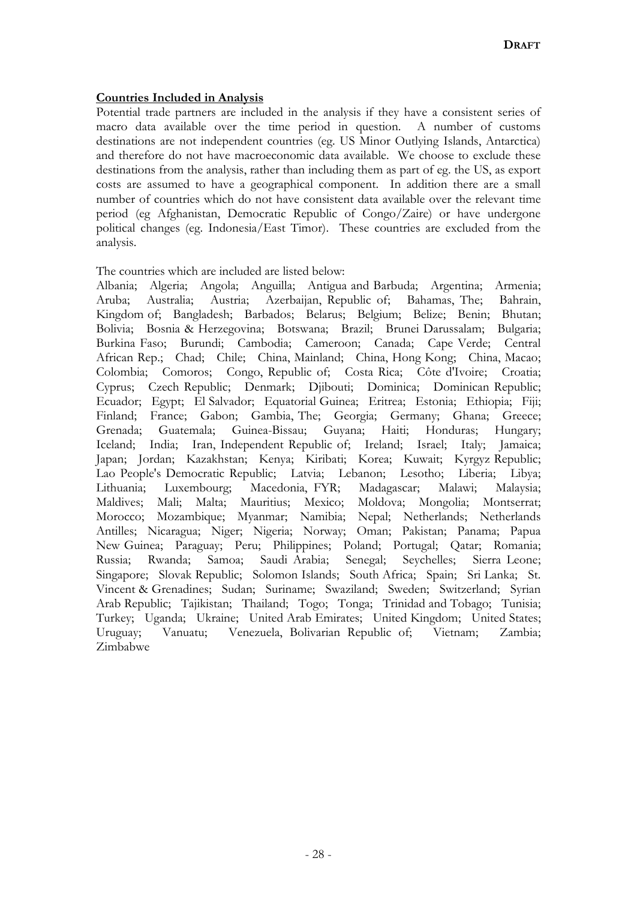#### **Countries Included in Analysis**

Potential trade partners are included in the analysis if they have a consistent series of macro data available over the time period in question. A number of customs destinations are not independent countries (eg. US Minor Outlying Islands, Antarctica) and therefore do not have macroeconomic data available. We choose to exclude these destinations from the analysis, rather than including them as part of eg. the US, as export costs are assumed to have a geographical component. In addition there are a small number of countries which do not have consistent data available over the relevant time period (eg Afghanistan, Democratic Republic of Congo/Zaire) or have undergone political changes (eg. Indonesia/East Timor). These countries are excluded from the analysis.

The countries which are included are listed below:

Albania; Algeria; Angola; Anguilla; Antigua and Barbuda; Argentina; Armenia; Aruba; Australia; Austria; Azerbaijan, Republic of; Bahamas, The; Bahrain, Kingdom of; Bangladesh; Barbados; Belarus; Belgium; Belize; Benin; Bhutan; Bolivia; Bosnia & Herzegovina; Botswana; Brazil; Brunei Darussalam; Bulgaria; Burkina Faso; Burundi; Cambodia; Cameroon; Canada; Cape Verde; Central African Rep.; Chad; Chile; China, Mainland; China, Hong Kong; China, Macao; Colombia; Comoros; Congo, Republic of; Costa Rica; Côte d'Ivoire; Croatia; Cyprus; Czech Republic; Denmark; Djibouti; Dominica; Dominican Republic; Ecuador; Egypt; El Salvador; Equatorial Guinea; Eritrea; Estonia; Ethiopia; Fiji; Finland; France; Gabon; Gambia, The; Georgia; Germany; Ghana; Greece; Grenada; Guatemala; Guinea-Bissau; Guyana; Haiti; Honduras; Hungary; Iceland; India; Iran, Independent Republic of; Ireland; Israel; Italy; Jamaica; Japan; Jordan; Kazakhstan; Kenya; Kiribati; Korea; Kuwait; Kyrgyz Republic; Lao People's Democratic Republic; Latvia; Lebanon; Lesotho; Liberia; Libya; Lithuania; Luxembourg; Macedonia, FYR; Madagascar; Malawi; Malaysia; Maldives; Mali; Malta; Mauritius; Mexico; Moldova; Mongolia; Montserrat; Morocco; Mozambique; Myanmar; Namibia; Nepal; Netherlands; Netherlands Antilles; Nicaragua; Niger; Nigeria; Norway; Oman; Pakistan; Panama; Papua New Guinea; Paraguay; Peru; Philippines; Poland; Portugal; Qatar; Romania; Russia; Rwanda; Samoa; Saudi Arabia; Senegal; Seychelles; Sierra Leone; Singapore; Slovak Republic; Solomon Islands; South Africa; Spain; Sri Lanka; St. Vincent & Grenadines; Sudan; Suriname; Swaziland; Sweden; Switzerland; Syrian Arab Republic; Tajikistan; Thailand; Togo; Tonga; Trinidad and Tobago; Tunisia; Turkey; Uganda; Ukraine; United Arab Emirates; United Kingdom; United States; Uruguay; Vanuatu; Venezuela, Bolivarian Republic of; Vietnam; Zambia; Zimbabwe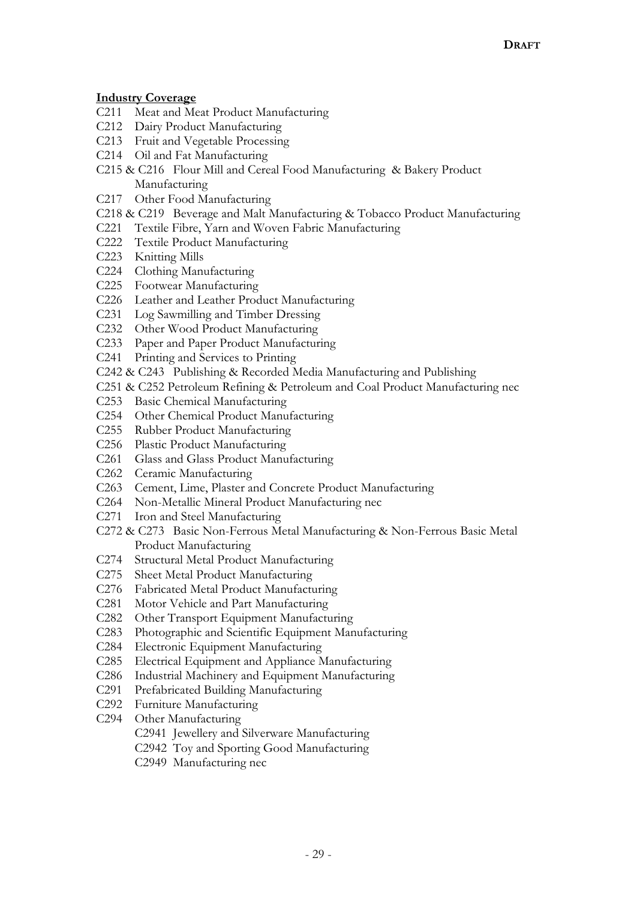#### **Industry Coverage**

- C211 Meat and Meat Product Manufacturing
- C212 Dairy Product Manufacturing
- C213 Fruit and Vegetable Processing
- C214 Oil and Fat Manufacturing
- C215 & C216 Flour Mill and Cereal Food Manufacturing & Bakery Product Manufacturing
- C217 Other Food Manufacturing
- C218 & C219 Beverage and Malt Manufacturing & Tobacco Product Manufacturing
- C221 Textile Fibre, Yarn and Woven Fabric Manufacturing
- C222 Textile Product Manufacturing
- C223 Knitting Mills
- C224 Clothing Manufacturing
- C225 Footwear Manufacturing
- C226 Leather and Leather Product Manufacturing
- C231 Log Sawmilling and Timber Dressing
- C232 Other Wood Product Manufacturing
- C233 Paper and Paper Product Manufacturing
- C241 Printing and Services to Printing
- C242 & C243 Publishing & Recorded Media Manufacturing and Publishing
- C251 & C252 Petroleum Refining & Petroleum and Coal Product Manufacturing nec
- C253 Basic Chemical Manufacturing
- C254 Other Chemical Product Manufacturing
- C255 Rubber Product Manufacturing
- C256 Plastic Product Manufacturing
- C261 Glass and Glass Product Manufacturing
- C262 Ceramic Manufacturing
- C263 Cement, Lime, Plaster and Concrete Product Manufacturing
- C264 Non-Metallic Mineral Product Manufacturing nec
- C271 Iron and Steel Manufacturing
- C272 & C273 Basic Non-Ferrous Metal Manufacturing & Non-Ferrous Basic Metal Product Manufacturing
- C274 Structural Metal Product Manufacturing
- C275 Sheet Metal Product Manufacturing
- C276 Fabricated Metal Product Manufacturing
- C281 Motor Vehicle and Part Manufacturing
- C282 Other Transport Equipment Manufacturing
- C283 Photographic and Scientific Equipment Manufacturing
- C284 Electronic Equipment Manufacturing
- C285 Electrical Equipment and Appliance Manufacturing
- C286 Industrial Machinery and Equipment Manufacturing
- C291 Prefabricated Building Manufacturing
- C292 Furniture Manufacturing
- C294 Other Manufacturing
	- C2941 Jewellery and Silverware Manufacturing
	- C2942 Toy and Sporting Good Manufacturing
	- C2949 Manufacturing nec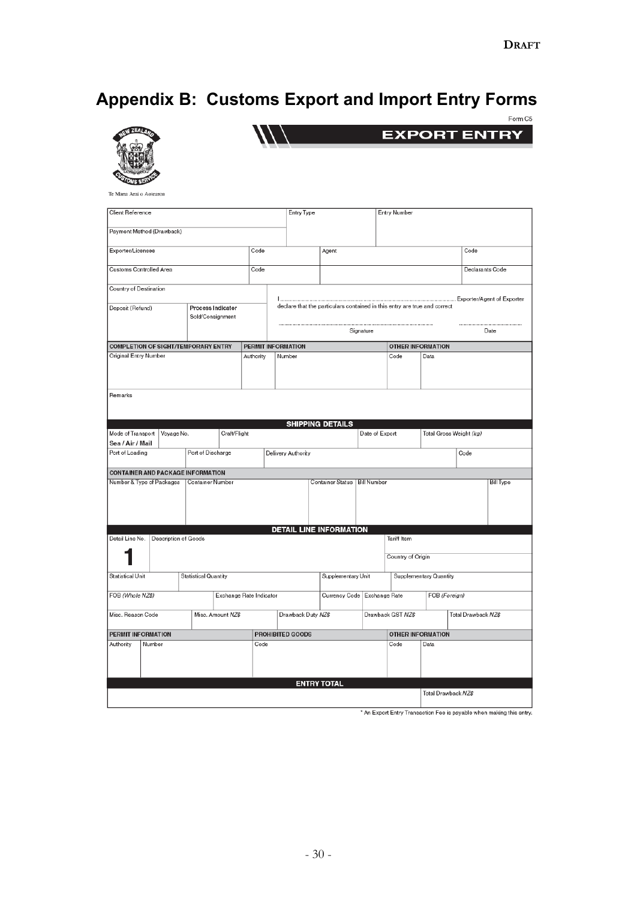# **Appendix B: Customs Export and Import Entry Forms**





Te Mana Arai o Aotearoa

| Client Reference                           |        |                      |                             |              |                         |        | <b>Entry Type</b>  |                                                                           |                  | <b>Entry Number</b> |                          |                         |                     |  |
|--------------------------------------------|--------|----------------------|-----------------------------|--------------|-------------------------|--------|--------------------|---------------------------------------------------------------------------|------------------|---------------------|--------------------------|-------------------------|---------------------|--|
|                                            |        |                      |                             |              |                         |        |                    |                                                                           |                  |                     |                          |                         |                     |  |
| Payment Method (Drawback)                  |        |                      |                             |              |                         |        |                    |                                                                           |                  |                     |                          |                         |                     |  |
|                                            |        |                      |                             |              |                         |        |                    |                                                                           |                  |                     |                          |                         |                     |  |
| Exporter/Licensee                          |        |                      |                             |              | Code                    |        |                    | Agent                                                                     |                  |                     |                          |                         | Code                |  |
|                                            |        |                      |                             |              |                         |        |                    |                                                                           |                  |                     |                          |                         |                     |  |
| Customs Controlled Area                    |        |                      |                             |              | Code                    |        |                    |                                                                           |                  |                     |                          |                         | Declarants Code     |  |
|                                            |        |                      |                             |              |                         |        |                    |                                                                           |                  |                     |                          |                         |                     |  |
| Country of Destination                     |        |                      |                             |              |                         |        |                    |                                                                           |                  |                     |                          |                         |                     |  |
|                                            |        |                      |                             |              |                         |        |                    |                                                                           |                  |                     |                          |                         |                     |  |
| Deposit (Refund)                           |        |                      | <b>Process Indicator</b>    |              |                         |        |                    | declare that the particulars contained in this entry are true and correct |                  |                     |                          |                         |                     |  |
|                                            |        |                      | Sold/Consignment            |              |                         |        |                    |                                                                           |                  |                     |                          |                         |                     |  |
|                                            |        |                      |                             |              |                         |        |                    |                                                                           |                  |                     |                          |                         |                     |  |
|                                            |        |                      |                             |              |                         |        |                    |                                                                           | Signature        |                     |                          |                         | Date                |  |
| <b>COMPLETION OF SIGHT/TEMPORARY ENTRY</b> |        |                      |                             |              | PERMIT INFORMATION      |        |                    |                                                                           |                  |                     | <b>OTHER INFORMATION</b> |                         |                     |  |
| Original Entry Number                      |        |                      |                             |              | Authority               | Number |                    |                                                                           |                  | Code                | Data                     |                         |                     |  |
|                                            |        |                      |                             |              |                         |        |                    |                                                                           |                  |                     |                          |                         |                     |  |
|                                            |        |                      |                             |              |                         |        |                    |                                                                           |                  |                     |                          |                         |                     |  |
|                                            |        |                      |                             |              |                         |        |                    |                                                                           |                  |                     |                          |                         |                     |  |
|                                            |        |                      |                             |              |                         |        |                    |                                                                           |                  |                     |                          |                         |                     |  |
| Remarks                                    |        |                      |                             |              |                         |        |                    |                                                                           |                  |                     |                          |                         |                     |  |
|                                            |        |                      |                             |              |                         |        |                    |                                                                           |                  |                     |                          |                         |                     |  |
|                                            |        |                      |                             |              |                         |        |                    |                                                                           |                  |                     |                          |                         |                     |  |
|                                            |        |                      |                             |              |                         |        |                    | <b>SHIPPING DETAILS</b>                                                   |                  |                     |                          |                         |                     |  |
| Mode of Transport                          |        | Voyage No.           |                             | Craft/Flight |                         |        |                    |                                                                           | Date of Export   |                     |                          | Total Gross Weight (kg) |                     |  |
| Sea / Air / Mail                           |        |                      |                             |              |                         |        |                    |                                                                           |                  |                     |                          |                         |                     |  |
| Port of Loading                            |        |                      | Port of Discharge           |              |                         |        | Delivery Authority |                                                                           |                  |                     |                          | Code                    |                     |  |
|                                            |        |                      |                             |              |                         |        |                    |                                                                           |                  |                     |                          |                         |                     |  |
| <b>CONTAINER AND PACKAGE INFORMATION</b>   |        |                      |                             |              |                         |        |                    |                                                                           |                  |                     |                          |                         |                     |  |
| Number & Type of Packages                  |        |                      | Container Number            |              |                         |        |                    | Container Status   Bill Number                                            | <b>Bill Type</b> |                     |                          |                         |                     |  |
|                                            |        |                      |                             |              |                         |        |                    |                                                                           |                  |                     |                          |                         |                     |  |
|                                            |        |                      |                             |              |                         |        |                    |                                                                           |                  |                     |                          |                         |                     |  |
|                                            |        |                      |                             |              |                         |        |                    |                                                                           |                  |                     |                          |                         |                     |  |
|                                            |        |                      |                             |              |                         |        |                    |                                                                           |                  |                     |                          |                         |                     |  |
|                                            |        |                      |                             |              |                         |        |                    | <b>DETAIL LINE INFORMATION</b>                                            |                  |                     |                          |                         |                     |  |
| Detail Line No.                            |        | Description of Goods |                             |              |                         |        |                    |                                                                           |                  | <b>Tariff Item</b>  |                          |                         |                     |  |
|                                            |        |                      |                             |              |                         |        |                    |                                                                           |                  |                     |                          |                         |                     |  |
|                                            |        |                      |                             |              |                         |        |                    |                                                                           |                  | Country of Origin   |                          |                         |                     |  |
|                                            |        |                      |                             |              |                         |        |                    |                                                                           |                  |                     |                          |                         |                     |  |
| <b>Statistical Unit</b>                    |        |                      | <b>Statistical Quantity</b> |              |                         |        |                    | Supplementary Unit                                                        |                  |                     | Supplementary Quantity   |                         |                     |  |
|                                            |        |                      |                             |              |                         |        |                    |                                                                           |                  |                     |                          |                         |                     |  |
| FOB (Whole NZ\$)                           |        |                      |                             |              | Exchange Rate Indicator |        |                    | Currency Code   Exchange Rate                                             |                  |                     |                          | FOB (Foreign)           |                     |  |
|                                            |        |                      |                             |              |                         |        |                    |                                                                           |                  |                     |                          |                         |                     |  |
| Misc. Reason Code                          |        |                      | Misc. Amount NZ\$           |              |                         |        | Drawback Duty NZ\$ |                                                                           |                  | Drawback GST NZ\$   |                          |                         | Total Drawback NZ\$ |  |
|                                            |        |                      |                             |              |                         |        |                    |                                                                           |                  |                     |                          |                         |                     |  |
| PERMIT INFORMATION                         |        |                      |                             |              |                         |        | PROHIBITED GOODS   |                                                                           |                  |                     |                          |                         |                     |  |
|                                            |        |                      |                             |              |                         |        |                    |                                                                           |                  |                     | OTHER INFORMATION        |                         |                     |  |
| Authority                                  | Number |                      |                             |              | Code                    |        |                    |                                                                           |                  | Code                | Data                     |                         |                     |  |
|                                            |        |                      |                             |              |                         |        |                    |                                                                           |                  |                     |                          |                         |                     |  |
|                                            |        |                      |                             |              |                         |        |                    |                                                                           |                  |                     |                          |                         |                     |  |
|                                            |        |                      |                             |              |                         |        |                    |                                                                           |                  |                     |                          |                         |                     |  |
|                                            |        |                      |                             |              |                         |        |                    | <b>ENTRY TOTAL</b>                                                        |                  |                     |                          |                         |                     |  |
|                                            |        |                      |                             |              |                         |        |                    |                                                                           |                  |                     |                          | Total Drawback NZ\$     |                     |  |
|                                            |        |                      |                             |              |                         |        |                    |                                                                           |                  |                     |                          |                         |                     |  |

\* An Export Entry Transaction Fee is payable when making this entry.